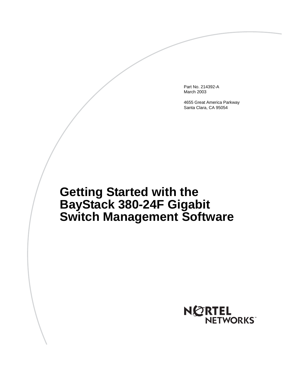Part No. 214392-A March 2003

4655 Great America Parkway Santa Clara, CA 95054

# **Getting Started with the BayStack 380-24F Gigabit Switch Management Software**

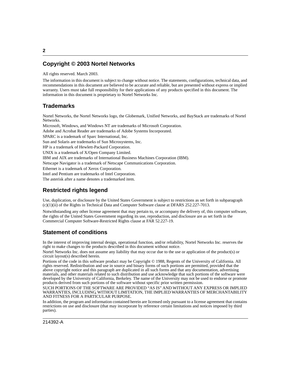#### **Copyright © 2003 Nortel Networks**

All rights reserved. March 2003.

The information in this document is subject to change without notice. The statements, configurations, technical data, and recommendations in this document are believed to be accurate and reliable, but are presented without express or implied warranty. Users must take full responsibility for their applications of any products specified in this document. The information in this document is proprietary to Nortel Networks Inc.

#### **Trademarks**

Nortel Networks, the Nortel Networks logo, the Globemark, Unified Networks, and BayStack are trademarks of Nortel Networks.

Microsoft, Windows, and Windows NT are trademarks of Microsoft Corporation. Adobe and Acrobat Reader are trademarks of Adobe Systems Incorporated. SPARC is a trademark of Sparc International, Inc. Sun and Solaris are trademarks of Sun Microsystems, Inc. HP is a trademark of Hewlett-Packard Corporation. UNIX is a trademark of X/Open Company Limited. IBM and AIX are trademarks of International Business Machines Corporation (IBM). Netscape Navigator is a trademark of Netscape Communications Corporation. Ethernet is a trademark of Xerox Corporation. Intel and Pentium are trademarks of Intel Corporation. The asterisk after a name denotes a trademarked item.

#### **Restricted rights legend**

Use, duplication, or disclosure by the United States Government is subject to restrictions as set forth in subparagraph (c)(1)(ii) of the Rights in Technical Data and Computer Software clause at DFARS 252.227-7013.

Notwithstanding any other license agreement that may pertain to, or accompany the delivery of, this computer software, the rights of the United States Government regarding its use, reproduction, and disclosure are as set forth in the Commercial Computer Software-Restricted Rights clause at FAR 52.227-19.

#### **Statement of conditions**

In the interest of improving internal design, operational function, and/or reliability, Nortel Networks Inc. reserves the right to make changes to the products described in this document without notice.

Nortel Networks Inc. does not assume any liability that may occur due to the use or application of the product(s) or circuit layout(s) described herein.

Portions of the code in this software product may be Copyright © 1988, Regents of the University of California. All rights reserved. Redistribution and use in source and binary forms of such portions are permitted, provided that the above copyright notice and this paragraph are duplicated in all such forms and that any documentation, advertising materials, and other materials related to such distribution and use acknowledge that such portions of the software were developed by the University of California, Berkeley. The name of the University may not be used to endorse or promote products derived from such portions of the software without specific prior written permission.

SUCH PORTIONS OF THE SOFTWARE ARE PROVIDED "AS IS" AND WITHOUT ANY EXPRESS OR IMPLIED WARRANTIES, INCLUDING, WITHOUT LIMITATION, THE IMPLIED WARRANTIES OF MERCHANTABILITY AND FITNESS FOR A PARTICULAR PURPOSE.

In addition, the program and information contained herein are licensed only pursuant to a license agreement that contains restrictions on use and disclosure (that may incorporate by reference certain limitations and notices imposed by third parties).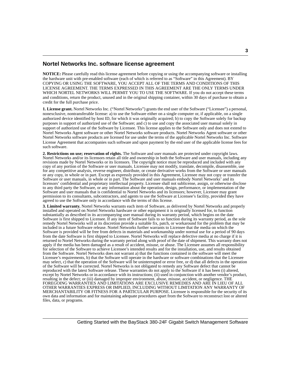#### **Nortel Networks Inc. software license agreement**

**NOTICE:** Please carefully read this license agreement before copying or using the accompanying software or installing the hardware unit with pre-enabled software (each of which is referred to as "Software" in this Agreement). BY COPYING OR USING THE SOFTWARE, YOU ACCEPT ALL OF THE TERMS AND CONDITIONS OF THIS LICENSE AGREEMENT. THE TERMS EXPRESSED IN THIS AGREEMENT ARE THE ONLY TERMS UNDER WHICH NORTEL NETWORKS WILL PERMIT YOU TO USE THE SOFTWARE. If you do not accept these terms and conditions, return the product, unused and in the original shipping container, within 30 days of purchase to obtain a credit for the full purchase price.

**1. License grant.** Nortel Networks Inc. ("Nortel Networks") grants the end user of the Software ("Licensee") a personal, nonexclusive, nontransferable license: a) to use the Software either on a single computer or, if applicable, on a single authorized device identified by host ID, for which it was originally acquired; b) to copy the Software solely for backup purposes in support of authorized use of the Software; and c) to use and copy the associated user manual solely in support of authorized use of the Software by Licensee. This license applies to the Software only and does not extend to Nortel Networks Agent software or other Nortel Networks software products. Nortel Networks Agent software or other Nortel Networks software products are licensed for use under the terms of the applicable Nortel Networks Inc. Software License Agreement that accompanies such software and upon payment by the end user of the applicable license fees for such software.

**2. Restrictions on use; reservation of rights.** The Software and user manuals are protected under copyright laws. Nortel Networks and/or its licensors retain all title and ownership in both the Software and user manuals, including any revisions made by Nortel Networks or its licensors. The copyright notice must be reproduced and included with any copy of any portion of the Software or user manuals. Licensee may not modify, translate, decompile, disassemble, use for any competitive analysis, reverse engineer, distribute, or create derivative works from the Software or user manuals or any copy, in whole or in part. Except as expressly provided in this Agreement, Licensee may not copy or transfer the Software or user manuals, in whole or in part. The Software and user manuals embody Nortel Networks' and its licensors' confidential and proprietary intellectual property. Licensee shall not sublicense, assign, or otherwise disclose to any third party the Software, or any information about the operation, design, performance, or implementation of the Software and user manuals that is confidential to Nortel Networks and its licensors; however, Licensee may grant permission to its consultants, subcontractors, and agents to use the Software at Licensee's facility, provided they have agreed to use the Software only in accordance with the terms of this license.

**3. Limited warranty.** Nortel Networks warrants each item of Software, as delivered by Nortel Networks and properly installed and operated on Nortel Networks hardware or other equipment it is originally licensed for, to function substantially as described in its accompanying user manual during its warranty period, which begins on the date Software is first shipped to Licensee. If any item of Software fails to so function during its warranty period, as the sole remedy Nortel Networks will at its discretion provide a suitable fix, patch, or workaround for the problem that may be included in a future Software release. Nortel Networks further warrants to Licensee that the media on which the Software is provided will be free from defects in materials and workmanship under normal use for a period of 90 days from the date Software is first shipped to Licensee. Nortel Networks will replace defective media at no charge if it is returned to Nortel Networks during the warranty period along with proof of the date of shipment. This warranty does not apply if the media has been damaged as a result of accident, misuse, or abuse. The Licensee assumes all responsibility for selection of the Software to achieve Licensee's intended results and for the installation, use, and results obtained from the Software. Nortel Networks does not warrant a) that the functions contained in the software will meet the Licensee's requirements, b) that the Software will operate in the hardware or software combinations that the Licensee may select, c) that the operation of the Software will be uninterrupted or error free, or d) that all defects in the operation of the Software will be corrected. Nortel Networks is not obligated to remedy any Software defect that cannot be reproduced with the latest Software release. These warranties do not apply to the Software if it has been (i) altered, except by Nortel Networks or in accordance with its instructions; (ii) used in conjunction with another vendor's product, resulting in the defect; or (iii) damaged by improper environment, abuse, misuse, accident, or negligence. THE FOREGOING WARRANTIES AND LIMITATIONS ARE EXCLUSIVE REMEDIES AND ARE IN LIEU OF ALL OTHER WARRANTIES EXPRESS OR IMPLIED, INCLUDING WITHOUT LIMITATION ANY WARRANTY OF MERCHANTABILITY OR FITNESS FOR A PARTICULAR PURPOSE. Licensee is responsible for the security of its own data and information and for maintaining adequate procedures apart from the Software to reconstruct lost or altered files, data, or programs.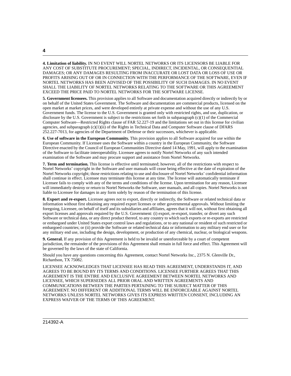**4. Limitation of liability.** IN NO EVENT WILL NORTEL NETWORKS OR ITS LICENSORS BE LIABLE FOR ANY COST OF SUBSTITUTE PROCUREMENT; SPECIAL, INDIRECT, INCIDENTAL, OR CONSEQUENTIAL DAMAGES; OR ANY DAMAGES RESULTING FROM INACCURATE OR LOST DATA OR LOSS OF USE OR PROFITS ARISING OUT OF OR IN CONNECTION WITH THE PERFORMANCE OF THE SOFTWARE, EVEN IF NORTEL NETWORKS HAS BEEN ADVISED OF THE POSSIBILITY OF SUCH DAMAGES. IN NO EVENT SHALL THE LIABILITY OF NORTEL NETWORKS RELATING TO THE SOFTWARE OR THIS AGREEMENT EXCEED THE PRICE PAID TO NORTEL NETWORKS FOR THE SOFTWARE LICENSE.

**5. Government licensees.** This provision applies to all Software and documentation acquired directly or indirectly by or on behalf of the United States Government. The Software and documentation are commercial products, licensed on the open market at market prices, and were developed entirely at private expense and without the use of any U.S. Government funds. The license to the U.S. Government is granted only with restricted rights, and use, duplication, or disclosure by the U.S. Government is subject to the restrictions set forth in subparagraph (c)(1) of the Commercial Computer Software––Restricted Rights clause of FAR 52.227-19 and the limitations set out in this license for civilian agencies, and subparagraph (c)(1)(ii) of the Rights in Technical Data and Computer Software clause of DFARS 252.227-7013, for agencies of the Department of Defense or their successors, whichever is applicable.

**6. Use of software in the European Community.** This provision applies to all Software acquired for use within the European Community. If Licensee uses the Software within a country in the European Community, the Software Directive enacted by the Council of European Communities Directive dated 14 May, 1991, will apply to the examination of the Software to facilitate interoperability. Licensee agrees to notify Nortel Networks of any such intended examination of the Software and may procure support and assistance from Nortel Networks.

**7. Term and termination.** This license is effective until terminated; however, all of the restrictions with respect to Nortel Networks' copyright in the Software and user manuals will cease being effective at the date of expiration of the Nortel Networks copyright; those restrictions relating to use and disclosure of Nortel Networks' confidential information shall continue in effect. Licensee may terminate this license at any time. The license will automatically terminate if Licensee fails to comply with any of the terms and conditions of the license. Upon termination for any reason, Licensee will immediately destroy or return to Nortel Networks the Software, user manuals, and all copies. Nortel Networks is not liable to Licensee for damages in any form solely by reason of the termination of this license.

**8. Export and re-export.** Licensee agrees not to export, directly or indirectly, the Software or related technical data or information without first obtaining any required export licenses or other governmental approvals. Without limiting the foregoing, Licensee, on behalf of itself and its subsidiaries and affiliates, agrees that it will not, without first obtaining all export licenses and approvals required by the U.S. Government: (i) export, re-export, transfer, or divert any such Software or technical data, or any direct product thereof, to any country to which such exports or re-exports are restricted or embargoed under United States export control laws and regulations, or to any national or resident of such restricted or embargoed countries; or (ii) provide the Software or related technical data or information to any military end user or for any military end use, including the design, development, or production of any chemical, nuclear, or biological weapons.

**9. General.** If any provision of this Agreement is held to be invalid or unenforceable by a court of competent jurisdiction, the remainder of the provisions of this Agreement shall remain in full force and effect. This Agreement will be governed by the laws of the state of California.

Should you have any questions concerning this Agreement, contact Nortel Networks Inc., 2375 N. Glenville Dr., Richardson, TX 75082.

LICENSEE ACKNOWLEDGES THAT LICENSEE HAS READ THIS AGREEMENT, UNDERSTANDS IT, AND AGREES TO BE BOUND BY ITS TERMS AND CONDITIONS. LICENSEE FURTHER AGREES THAT THIS AGREEMENT IS THE ENTIRE AND EXCLUSIVE AGREEMENT BETWEEN NORTEL NETWORKS AND LICENSEE, WHICH SUPERSEDES ALL PRIOR ORAL AND WRITTEN AGREEMENTS AND COMMUNICATIONS BETWEEN THE PARTIES PERTAINING TO THE SUBJECT MATTER OF THIS AGREEMENT. NO DIFFERENT OR ADDITIONAL TERMS WILL BE ENFORCEABLE AGAINST NORTEL NETWORKS UNLESS NORTEL NETWORKS GIVES ITS EXPRESS WRITTEN CONSENT, INCLUDING AN EXPRESS WAIVER OF THE TERMS OF THIS AGREEMENT.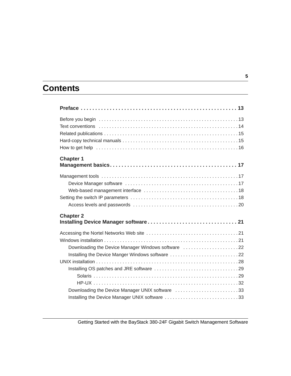## **Contents**

| <b>Chapter 1</b>                                                                                                                                          |
|-----------------------------------------------------------------------------------------------------------------------------------------------------------|
|                                                                                                                                                           |
| <b>Chapter 2</b>                                                                                                                                          |
| Downloading the Device Manager Windows software 22<br>Installing the Device Manger Windows software 22<br>Downloading the Device Manager UNIX software 33 |
| Installing the Device Manager UNIX software 33                                                                                                            |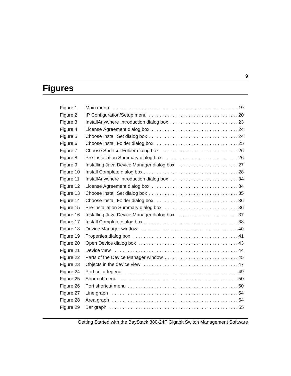## **Figures**

| Figure 1  |                                              |
|-----------|----------------------------------------------|
| Figure 2  |                                              |
| Figure 3  |                                              |
| Figure 4  |                                              |
| Figure 5  |                                              |
| Figure 6  |                                              |
| Figure 7  |                                              |
| Figure 8  |                                              |
| Figure 9  | Installing Java Device Manager dialog box 27 |
| Figure 10 |                                              |
| Figure 11 | InstallAnywhere Introduction dialog box 34   |
| Figure 12 |                                              |
| Figure 13 |                                              |
| Figure 14 |                                              |
| Figure 15 |                                              |
| Figure 16 | Installing Java Device Manager dialog box 37 |
| Figure 17 |                                              |
| Figure 18 |                                              |
| Figure 19 |                                              |
| Figure 20 |                                              |
| Figure 21 |                                              |
| Figure 22 | Parts of the Device Manager window 45        |
| Figure 23 |                                              |
| Figure 24 |                                              |
| Figure 25 |                                              |
| Figure 26 |                                              |
| Figure 27 |                                              |
| Figure 28 |                                              |
| Figure 29 |                                              |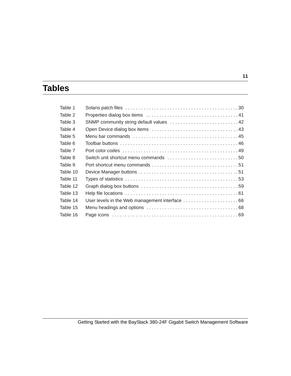## **Tables**

| Table 1  |                                                |  |
|----------|------------------------------------------------|--|
| Table 2  |                                                |  |
| Table 3  | SNMP community string default values 42        |  |
| Table 4  |                                                |  |
| Table 5  |                                                |  |
| Table 6  |                                                |  |
| Table 7  |                                                |  |
| Table 8  |                                                |  |
| Table 9  |                                                |  |
| Table 10 |                                                |  |
| Table 11 |                                                |  |
| Table 12 |                                                |  |
| Table 13 |                                                |  |
| Table 14 | User levels in the Web management interface 66 |  |
| Table 15 |                                                |  |
| Table 16 |                                                |  |
|          |                                                |  |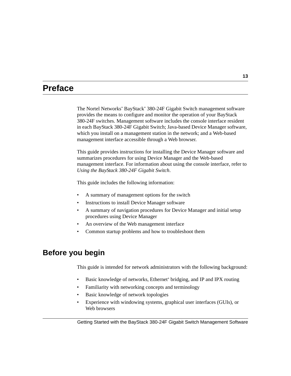## <span id="page-12-0"></span>**Preface**

The Nortel Networks\* BayStack\* 380-24F Gigabit Switch management software provides the means to configure and monitor the operation of your BayStack 380-24F switches. Management software includes the console interface resident in each BayStack 380-24F Gigabit Switch; Java-based Device Manager software, which you install on a management station in the network; and a Web-based management interface accessible through a Web browser.

This guide provides instructions for installing the Device Manager software and summarizes procedures for using Device Manager and the Web-based management interface. For information about using the console interface, refer to *Using the BayStack 380-24F Gigabit Switch*.

This guide includes the following information:

- A summary of management options for the switch
- Instructions to install Device Manager software
- A summary of navigation procedures for Device Manager and initial setup procedures using Device Manager
- An overview of the Web management interface
- Common startup problems and how to troubleshoot them

## <span id="page-12-1"></span>**Before you begin**

This guide is intended for network administrators with the following background:

- Basic knowledge of networks, Ethernet\* bridging, and IP and IPX routing
- Familiarity with networking concepts and terminology
- Basic knowledge of network topologies
- Experience with windowing systems, graphical user interfaces (GUIs), or Web browsers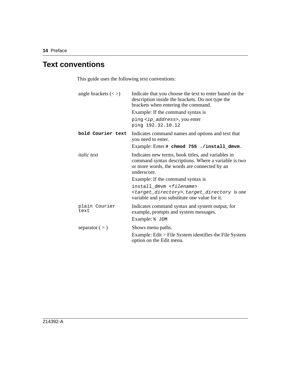## <span id="page-13-0"></span>**Text conventions**

This guide uses the following text conventions:

| angle brackets $(<)$  | Indicate that you choose the text to enter based on the<br>description inside the brackets. Do not type the<br>brackets when entering the command.                        |
|-----------------------|---------------------------------------------------------------------------------------------------------------------------------------------------------------------------|
|                       | Example: If the command syntax is                                                                                                                                         |
|                       | ping <ip_address>, you enter<br/>ping 192.32.10.12</ip_address>                                                                                                           |
| bold Courier text     | Indicates command names and options and text that<br>you need to enter.                                                                                                   |
|                       | Example: Enter # chmod 755 ./install_dmvm.                                                                                                                                |
| <i>italic</i> text    | Indicates new terms, book titles, and variables in<br>command syntax descriptions. Where a variable is two<br>or more words, the words are connected by an<br>underscore. |
|                       | Example: If the command syntax is                                                                                                                                         |
|                       | install dmvm <filename><br/><target_directory>, target_directory is one<br/>variable and you substitute one value for it.</target_directory></filename>                   |
| plain Courier<br>text | Indicates command syntax and system output, for<br>example, prompts and system messages.                                                                                  |
|                       | Example: % JDM                                                                                                                                                            |
| separator $(>)$       | Shows menu paths.                                                                                                                                                         |
|                       | Example: Edit > File System identifies the File System<br>option on the Edit menu.                                                                                        |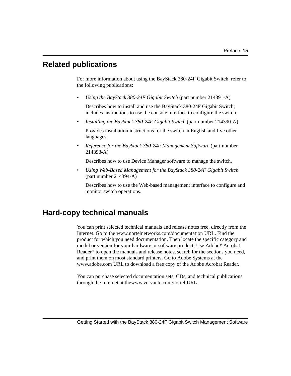## <span id="page-14-0"></span>**Related publications**

For more information about using the BayStack 380-24F Gigabit Switch, refer to the following publications:

• *Using the BayStack 380-24F Gigabit Switch* (part number 214391-A)

Describes how to install and use the BayStack 380-24F Gigabit Switch; includes instructions to use the console interface to configure the switch.

• *Installing the BayStack 380-24F Gigabit Switch* (part number 214390-A)

Provides installation instructions for the switch in English and five other languages.

• *Reference for the BayStack 380-24F Management Software* (part number 214393-A)

Describes how to use Device Manager software to manage the switch.

• *Using Web-Based Management for the BayStack 380-24F Gigabit Switch*  (part number 214394-A)

Describes how to use the Web-based management interface to configure and monitor switch operations.

## <span id="page-14-1"></span>**Hard-copy technical manuals**

You can print selected technical manuals and release notes free, directly from the Internet. Go to the [www.nortelnetworks.com/documentation](http://www.nortelnetworks.com/documentation) URL. Find the product for which you need documentation. Then locate the specific category and model or version for your hardware or software product. Use Adobe\* Acrobat Reader\* to open the manuals and release notes, search for the sections you need, and print them on most standard printers. Go to Adobe Systems at the [www.adobe.com](http://www.adobe.com) URL to download a free copy of the Adobe Acrobat Reader.

You can purchase selected documentation sets, CDs, and technical publications through the Internet at th[ewww.vervante.com/nortel](http://www.adobe.com) URL.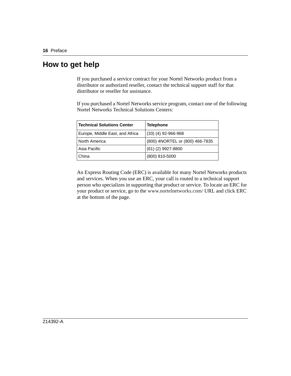### <span id="page-15-0"></span>**How to get help**

If you purchased a service contract for your Nortel Networks product from a distributor or authorized reseller, contact the technical support staff for that distributor or reseller for assistance.

If you purchased a Nortel Networks service program, contact one of the following Nortel Networks Technical Solutions Centers:

| <b>Technical Solutions Center</b> | <b>Telephone</b>                |
|-----------------------------------|---------------------------------|
| Europe, Middle East, and Africa   | $(33)$ $(4)$ 92-966-968         |
| North America                     | (800) 4NORTEL or (800) 466-7835 |
| Asia Pacific                      | $(61)$ $(2)$ 9927-8800          |
| China                             | (800) 810-5000                  |

An Express Routing Code (ERC) is available for many Nortel Networks products and services. When you use an ERC, your call is routed to a technical support person who specializes in supporting that product or service. To locate an ERC for your product or service, go to the [www.nortelnetworks.com/](www12.nortelnetworks.com/) URL and click ERC at the bottom of the page.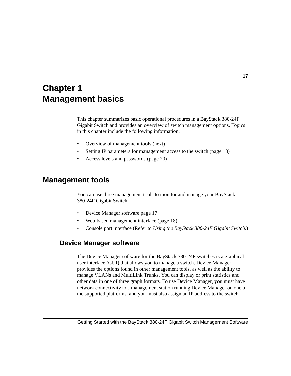## <span id="page-16-1"></span><span id="page-16-0"></span>**Chapter 1 Management basics**

This chapter summarizes basic operational procedures in a BayStack 380-24F Gigabit Switch and provides an overview of switch management options. Topics in this chapter include the following information:

- Overview of management tools (next)
- Setting IP parameters for management access to the switch [\(page 18\)](#page-17-1)
- Access levels and passwords [\(page 20\)](#page-19-0)

#### <span id="page-16-2"></span>**Management tools**

You can use three management tools to monitor and manage your BayStack 380-24F Gigabit Switch:

- Device Manager software [page 17](#page-16-3)
- Web-based management interface [\(page 18](#page-17-0))
- Console port interface (Refer to *Using the BayStack 380-24F Gigabit Switch*.)

#### <span id="page-16-3"></span>**Device Manager software**

The Device Manager software for the BayStack 380-24F switches is a graphical user interface (GUI) that allows you to manage a switch. Device Manager provides the options found in other management tools, as well as the ability to manage VLANs and MultiLink Trunks. You can display or print statistics and other data in one of three graph formats. To use Device Manager, you must have network connectivity to a management station running Device Manager on one of the supported platforms, and you must also assign an IP address to the switch.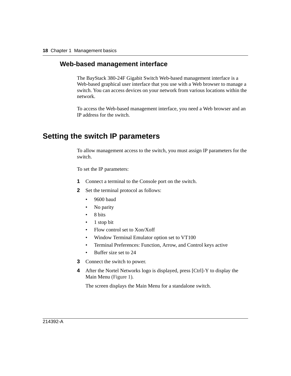#### <span id="page-17-0"></span>**Web-based management interface**

The BayStack 380-24F Gigabit Switch Web-based management interface is a Web-based graphical user interface that you use with a Web browser to manage a switch. You can access devices on your network from various locations within the network.

To access the Web-based management interface, you need a Web browser and an IP address for the switch.

### <span id="page-17-1"></span>**Setting the switch IP parameters**

To allow management access to the switch, you must assign IP parameters for the switch.

To set the IP parameters:

- **1** Connect a terminal to the Console port on the switch.
- **2** Set the terminal protocol as follows:
	- 9600 baud
	- No parity
	- 8 bits
	- 1 stop bit
	- Flow control set to Xon/Xoff
	- Window Terminal Emulator option set to VT100
	- Terminal Preferences: Function, Arrow, and Control keys active
	- Buffer size set to 24
- **3** Connect the switch to power.
- **4** After the Nortel Networks logo is displayed, press [Ctrl]-Y to display the Main Menu [\(Figure 1\).](#page-18-0)

The screen displays the Main Menu for a standalone switch.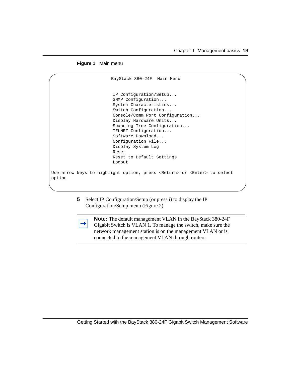**Figure 1** Main menu

```
 BayStack 380-24F Main Menu
                          IP Configuration/Setup...
                          SNMP Configuration...
                          System Characteristics...
                          Switch Configuration...
                          Console/Comm Port Configuration...
                          Display Hardware Units...
                          Spanning Tree Configuration...
                          TELNET Configuration...
                          Software Download...
                          Configuration File...
                          Display System Log
                          Reset
                          Reset to Default Settings
                          Logout
Use arrow keys to highlight option, press <Return> or <Enter> to select 
option.
```
**5** Select IP Configuration/Setup (or press i) to display the IP Configuration/Setup menu [\(Figure 2](#page-19-1)).



**Note:** The default management VLAN in the BayStack 380-24F Gigabit Switch is VLAN 1. To manage the switch, make sure the network management station is on the management VLAN or is connected to the management VLAN through routers.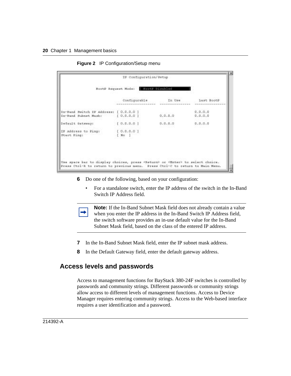<span id="page-19-1"></span>

|             |                                                                            | BootP Request Mode: BootP Dischled |         |                    |
|-------------|----------------------------------------------------------------------------|------------------------------------|---------|--------------------|
|             |                                                                            | Configurable                       | In Use  | Last BootP         |
|             | In-Band Bwitch IF Address: [ 0.0.0.0 ]<br>In-Band Subnet Mask: [ 0.0.0.0 ] |                                    | 0.0.0.0 | 0.0.0.0<br>0.0.0.0 |
|             | Default Gateway:                                                           | 1, 0, 0, 0, 0, 1                   | 0.0.0.0 | 0.0.0.0            |
| Start Ping: | IP Address to Ping:                                                        | 1.0.0.0.01<br>$\sqrt{N\phi}$       |         |                    |

**Figure 2** IP Configuration/Setup menu

- **6** Do one of the following, based on your configuration:
	- For a standalone switch, enter the IP address of the switch in the In-Band Switch IP Address field.

**Note:** If the In-Band Subnet Mask field does not already contain a value when you enter the IP address in the In-Band Switch IP Address field, the switch software provides an in-use default value for the In-Band Subnet Mask field, based on the class of the entered IP address.

- **7** In the In-Band Subnet Mask field, enter the IP subnet mask address.
- **8** In the Default Gateway field, enter the default gateway address.

#### <span id="page-19-0"></span>**Access levels and passwords**

Access to management functions for BayStack 380-24F switches is controlled by passwords and community strings. Different passwords or community strings allow access to different levels of management functions. Access to Device Manager requires entering community strings. Access to the Web-based interface requires a user identification and a password.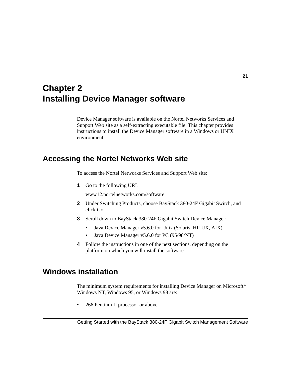## <span id="page-20-1"></span><span id="page-20-0"></span>**Chapter 2 Installing Device Manager software**

Device Manager software is available on the Nortel Networks Services and Support Web site as a self-extracting executable file. This chapter provides instructions to install the Device Manager software in a Windows or UNIX environment.

### <span id="page-20-2"></span>**Accessing the Nortel Networks Web site**

To access the Nortel Networks Services and Support Web site:

**1** Go to the following URL:

www12.nortelnetworks.com/software

- **2** Under Switching Products, choose BayStack 380-24F Gigabit Switch, and click Go.
- **3** Scroll down to BayStack 380-24F Gigabit Switch Device Manager:
	- Java Device Manager v5.6.0 for Unix (Solaris, HP-UX, AIX)
	- Java Device Manager v5.6.0 for PC (95/98/NT)
- **4** Follow the instructions in one of the next sections, depending on the platform on which you will install the software.

### <span id="page-20-3"></span>**Windows installation**

The minimum system requirements for installing Device Manager on Microsoft\* Windows NT, Windows 95, or Windows 98 are:

• 266 Pentium II processor or above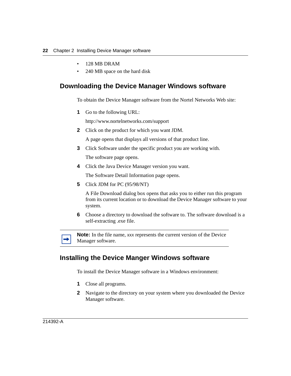- 128 MB DRAM
- 240 MB space on the hard disk

#### <span id="page-21-0"></span>**Downloading the Device Manager Windows software**

To obtain the Device Manager software from the Nortel Networks Web site:

**1** Go to the following URL:

http://www.nortelnetworks.com/support

**2** Click on the product for which you want JDM.

A page opens that displays all versions of that product line.

- **3** Click Software under the specific product you are working with. The software page opens.
- **4** Click the Java Device Manager version you want.

The Software Detail Information page opens.

**5** Click JDM for PC (95/98/NT)

A File Download dialog box opens that asks you to either run this program from its current location or to download the Device Manager software to your system.

**6** Choose a directory to download the software to. The software download is a self-extracting .exe file.



**Note:** In the file name, *xxx* represents the current version of the Device Manager software.

#### <span id="page-21-1"></span>**Installing the Device Manger Windows software**

To install the Device Manager software in a Windows environment:

- **1** Close all programs.
- **2** Navigate to the directory on your system where you downloaded the Device Manager software.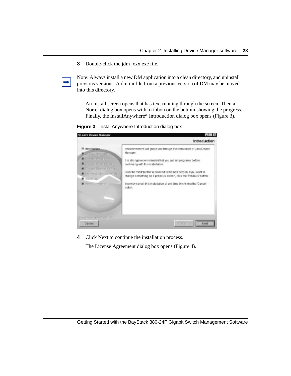**3** Double-click the jdm\_xxx.exe file.

Note: Always install a new DM application into a clean directory, and uninstall previous versions. A dm.ini file from a previous version of DM may be moved into this directory.

An Install screen opens that has text running through the screen. Then a Nortel dialog box opens with a ribbon on the bottom showing the progress. Finally, the InstallAnywhere\* Introduction dialog box opens [\(Figure 3\).](#page-22-0)

<span id="page-22-0"></span>**Figure 3** InstallAnywhere Introduction dialog box



**4** Click Next to continue the installation process.

The License Agreement dialog box opens [\(Figure 4\)](#page-23-0).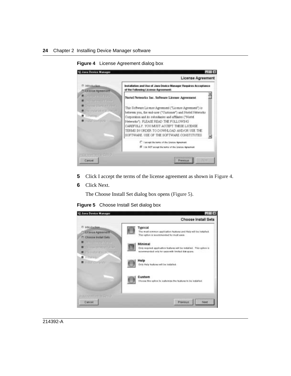<span id="page-23-0"></span>

**Figure 4** License Agreement dialog box

- **5** Click I accept the terms of the license agreement as shown in [Figure 4.](#page-23-0)
- **6** Click Next.

The Choose Install Set dialog box opens [\(Figure 5\).](#page-23-1)

**Figure 5** Choose Install Set dialog box

<span id="page-23-1"></span>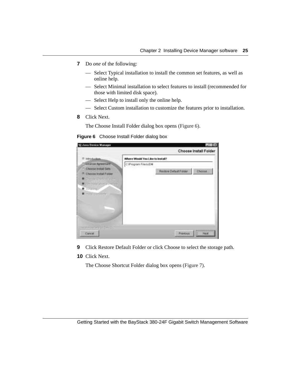- **7** Do *one* of the following:
	- Select Typical installation to install the common set features, as well as online help.
	- Select Minimal installation to select features to install (recommended for those with limited disk space).
	- Select Help to install only the online help.
	- Select Custom installation to customize the features prior to installation.
- **8** Click Next.

The Choose Install Folder dialog box opens [\(Figure 6\)](#page-24-0).

|                                                                                                                                                                                                  | Choose Install Folder                          |        |
|--------------------------------------------------------------------------------------------------------------------------------------------------------------------------------------------------|------------------------------------------------|--------|
| introduction.                                                                                                                                                                                    | Where Would You Like to Install?               |        |
| L.K. etga Agreement<br>Choose Install Sets<br><sup>(1)</sup> Choose Install Folder<br>Connellon (Fall)<br><b>B.</b> Lin-Portal labour D'Oremoty.<br><b>B</b> Growing<br><b>B</b> Hamil Demotivia | C:/Program FilestuDM<br>Restore Default Folder | Choose |
| <b>ITTO CARRIER ATT FILLS</b><br>Cancer                                                                                                                                                          | <b>Previous</b>                                | Navt   |

<span id="page-24-0"></span>**Figure 6** Choose Install Folder dialog box

- **9** Click Restore Default Folder or click Choose to select the storage path.
- **10** Click Next.

The Choose Shortcut Folder dialog box opens [\(Figure 7\).](#page-25-0)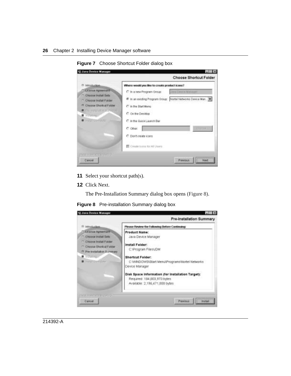<span id="page-25-0"></span>

**Figure 7** Choose Shortcut Folder dialog box

- **11** Select your shortcut path(s).
- **12** Click Next.

The Pre-Installation Summary dialog box opens [\(Figure 8\).](#page-25-1)

<span id="page-25-1"></span>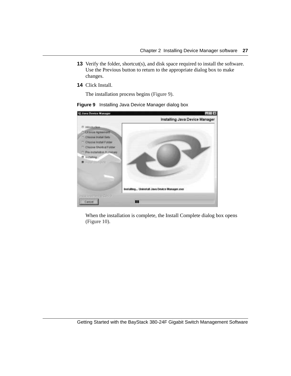- **13** Verify the folder, shortcut(s), and disk space required to install the software. Use the Previous button to return to the appropriate dialog box to make changes.
- **14** Click Install.

The installation process begins [\(Figure 9\).](#page-26-0)

<span id="page-26-0"></span>

| <b>10 Java Device Manager</b>                                                                                                                                                                                                        | <b>Tx</b>                                    |
|--------------------------------------------------------------------------------------------------------------------------------------------------------------------------------------------------------------------------------------|----------------------------------------------|
|                                                                                                                                                                                                                                      | Installing Java Device Manager               |
| <sup>(1)</sup> Introduction.<br>License Agreement<br>Choose Install Sets<br><sup>11</sup> Chosse Install Folder<br><sup>27</sup> Choose Shortcut Folder<br>Pre-installation Schweizer<br><b>If Installing</b><br><b>R</b> Hootganger | Installing Uninstall Java Device Manager.com |
| <b>COMPART CARLINO</b>                                                                                                                                                                                                               |                                              |
| Cancel                                                                                                                                                                                                                               | ™                                            |

When the installation is complete, the Install Complete dialog box opens [\(Figure 10\).](#page-27-1)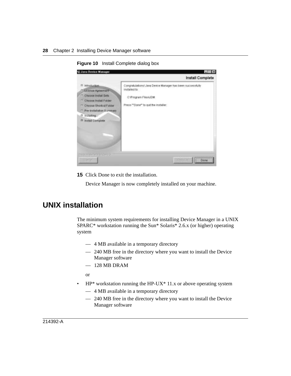<span id="page-27-1"></span>

**Figure 10** Install Complete dialog box

**15** Click Done to exit the installation.

Device Manager is now completely installed on your machine.

### <span id="page-27-0"></span>**UNIX installation**

The minimum system requirements for installing Device Manager in a UNIX SPARC\* workstation running the Sun\* Solaris\* 2.6.x (or higher) operating system

- 4 MB available in a temporary directory
- 240 MB free in the directory where you want to install the Device Manager software
- $-128$  MB DRAM

or

- HP\* workstation running the HP-UX\* 11.x or above operating system
	- 4 MB available in a temporary directory
	- 240 MB free in the directory where you want to install the Device Manager software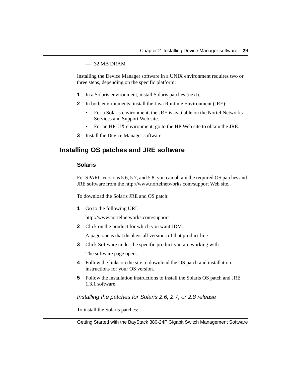— 32 MB DRAM

Installing the Device Manager software in a UNIX environment requires two or three steps, depending on the specific platform:

- **1** In a Solaris environment, install Solaris patches (next).
- **2** In both environments, install the Java Runtime Environment (JRE):
	- For a Solaris environment, the JRE is available on the Nortel Networks Services and Support Web site.
	- For an HP-UX environment, go to the HP Web site to obtain the JRE.
- **3** Install the Device Manager software.

### <span id="page-28-1"></span><span id="page-28-0"></span>**Installing OS patches and JRE software**

#### **Solaris**

For SPARC versions 5.6, 5.7, and 5.8, you can obtain the required OS patches and JRE software from the http://www.nortelnetworks.com/support Web site.

To download the Solaris JRE and OS patch:

**1** Go to the following URL:

http://www.nortelnetworks.com/support

**2** Click on the product for which you want JDM.

A page opens that displays all versions of that product line.

- **3** Click Software under the specific product you are working with. The software page opens.
- **4** Follow the links on the site to download the OS patch and installation instructions for your OS version.
- **5** Follow the installation instructions to install the Solaris OS patch and JRE 1.3.1 software.

Installing the patches for Solaris 2.6, 2.7, or 2.8 release

To install the Solaris patches: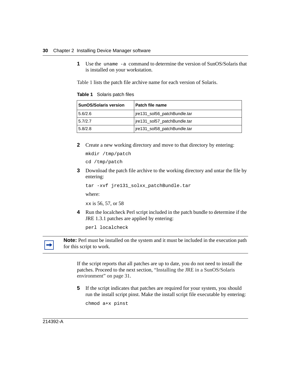**1** Use the uname -a command to determine the version of SunOS/Solaris that is installed on your workstation.

[Table 1](#page-29-0) lists the patch file archive name for each version of Solaris.

| <b>SunOS/Solaris version</b> | Patch file name              |  |
|------------------------------|------------------------------|--|
| 5.6/2.6                      | jre131_sol56_patchBundle.tar |  |
| 5.7/2.7                      | jre131_sol57_patchBundle.tar |  |
| 5.8/2.8                      | jre131_sol58_patchBundle.tar |  |

<span id="page-29-0"></span>**Table 1** Solaris patch files

**2** Create a new working directory and move to that directory by entering:

```
mkdir /tmp/patch
cd /tmp/patch
```
**3** Download the patch file archive to the working directory and untar the file by entering:

```
tar -xvf jre131 solxx patchBundle.tar
```
where:

xx is 56, 57, or 58

**4** Run the localcheck Perl script included in the patch bundle to determine if the JRE 1.3.1 patches are applied by entering:

perl localcheck



**Note:** Perl must be installed on the system and it must be included in the execution path for this script to work.

If the script reports that all patches are up to date, you do not need to install the patches. Proceed to the next section, ["Installing the JRE in a SunOS/Solaris](#page-30-0)  [environment" on page 31](#page-30-0).

**5** If the script indicates that patches are required for your system, you should run the install script pinst. Make the install script file executable by entering:

chmod a+x pinst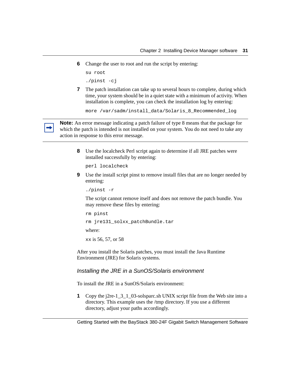**6** Change the user to root and run the script by entering:

```
su root
./pinst -cj
```
**7** The patch installation can take up to several hours to complete, during which time, your system should be in a quiet state with a minimum of activity. When installation is complete, you can check the installation log by entering:

```
more /var/sadm/install_data/Solaris_8_Recommended_log
```
**Note:** An error message indicating a patch failure of type 8 means that the package for which the patch is intended is not installed on your system. You do not need to take any action in response to this error message.

**8** Use the localcheck Perl script again to determine if all JRE patches were installed successfully by entering:

```
perl localcheck
```
**9** Use the install script pinst to remove install files that are no longer needed by entering:

```
./pinst -r
```
The script cannot remove itself and does not remove the patch bundle. You may remove these files by entering:

rm pinst rm jre131\_solxx\_patchBundle.tar where: xx is 56, 57, or 58

After you install the Solaris patches, you must install the Java Runtime Environment (JRE) for Solaris systems.

#### <span id="page-30-0"></span>Installing the JRE in a SunOS/Solaris environment

To install the JRE in a SunOS/Solaris environment:

**1** Copy the j2re-1\_3\_1\_03-solsparc.sh UNIX script file from the Web site into a directory. This example uses the /tmp directory. If you use a different directory, adjust your paths accordingly.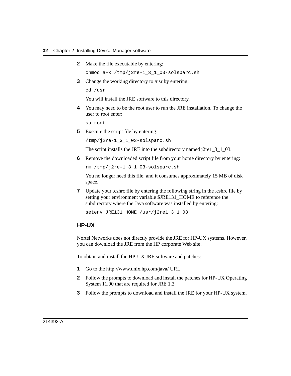**2** Make the file executable by entering:

chmod a+x /tmp/j2re-1\_3\_1\_03-solsparc.sh

**3** Change the working directory to /usr by entering:

cd /usr

You will install the JRE software to this directory.

**4** You may need to be the root user to run the JRE installation. To change the user to root enter:

su root

**5** Execute the script file by entering:

/tmp/j2re-1\_3\_1\_03-solsparc.sh

The script installs the JRE into the subdirectory named  $j2rel_3_1_03$ .

**6** Remove the downloaded script file from your home directory by entering:

rm /tmp/j2re-1\_3\_1\_03-solsparc.sh

You no longer need this file, and it consumes approximately 15 MB of disk space.

**7** Update your .cshrc file by entering the following string in the .cshrc file by setting your environment variable \$JRE131 HOME to reference the subdirectory where the Java software was installed by entering:

setenv JRE131\_HOME /usr/j2re1\_3\_1\_03

#### <span id="page-31-0"></span>**HP-UX**

Nortel Networks does not directly provide the JRE for HP-UX systems. However, you can download the JRE from the HP corporate Web site.

To obtain and install the HP-UX JRE software and patches:

- **1** Go to the http://www.unix.hp.com/java/ URL
- **2** Follow the prompts to download and install the patches for HP-UX Operating System 11.00 that are required for JRE 1.3.
- **3** Follow the prompts to download and install the JRE for your HP-UX system.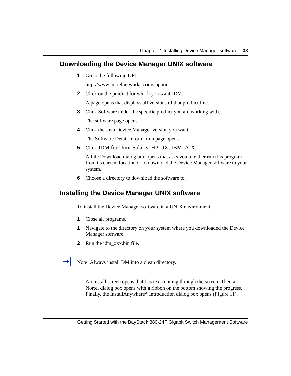#### <span id="page-32-0"></span>**Downloading the Device Manager UNIX software**

**1** Go to the following URL:

http://www.nortelnetworks.com/support

**2** Click on the product for which you want JDM.

A page opens that displays all versions of that product line.

**3** Click Software under the specific product you are working with.

The software page opens.

**4** Click the Java Device Manager version you want.

The Software Detail Information page opens.

**5** Click JDM for Unix-Solaris, HP-UX, IBM, AIX.

A File Download dialog box opens that asks you to either run this program from its current location or to download the Device Manager software to your system.

**6** Choose a directory to download the software to.

### <span id="page-32-1"></span>**Installing the Device Manager UNIX software**

To install the Device Manager software in a UNIX environment:

- **1** Close all programs.
- **1** Navigate to the directory on your system where you downloaded the Device Manager software.
- **2** Run the jdm\_xxx.bin file.
- Note: Always install DM into a clean directory.

An Install screen opens that has text running through the screen. Then a Nortel dialog box opens with a ribbon on the bottom showing the progress. Finally, the InstallAnywhere\* Introduction dialog box opens [\(Figure 11\).](#page-33-0)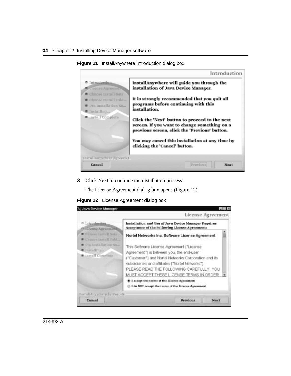<span id="page-33-0"></span>

**Figure 11** InstallAnywhere Introduction dialog box

**3** Click Next to continue the installation process.

The License Agreement dialog box opens [\(Figure 12\).](#page-33-1)

<span id="page-33-1"></span>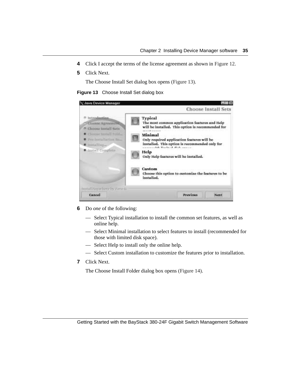- **4** Click I accept the terms of the license agreement as shown in [Figure 12.](#page-33-1)
- **5** Click Next.

The Choose Install Set dialog box opens [\(Figure 13\)](#page-34-0).

<span id="page-34-0"></span>



- **6** Do *one* of the following:
	- Select Typical installation to install the common set features, as well as online help.
	- Select Minimal installation to select features to install (recommended for those with limited disk space).
	- Select Help to install only the online help.
	- Select Custom installation to customize the features prior to installation.
- **7** Click Next.

The Choose Install Folder dialog box opens [\(Figure 14\).](#page-35-0)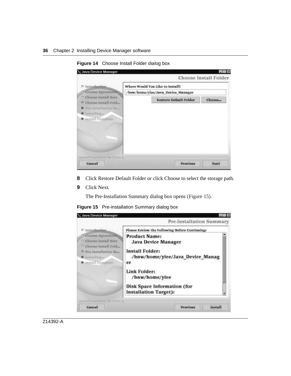<span id="page-35-0"></span>

**Figure 14** Choose Install Folder dialog box

- **8** Click Restore Default Folder or click Choose to select the storage path.
- **9** Click Next.

The Pre-Installation Summary dialog box opens [\(Figure 15\)](#page-35-1).

|  | Figure 15 Pre-installation Summary dialog box |  |  |
|--|-----------------------------------------------|--|--|
|--|-----------------------------------------------|--|--|

<span id="page-35-1"></span>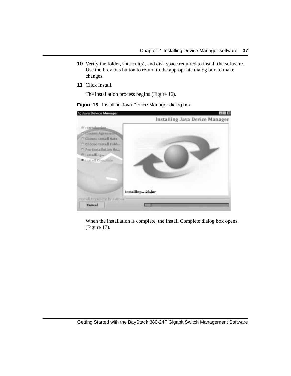- **10** Verify the folder, shortcut(s), and disk space required to install the software. Use the Previous button to return to the appropriate dialog box to make changes.
- **11** Click Install.

The installation process begins [\(Figure 16\)](#page-36-0).

<span id="page-36-0"></span>

| <b>Java Device Manager</b>                                                                                                                                                                                    | Installing Java Device Manager |
|---------------------------------------------------------------------------------------------------------------------------------------------------------------------------------------------------------------|--------------------------------|
| <sup>(1</sup> Introduction,<br><b><i><u>License Agreement</u></i></b><br>Choose Install Sats<br>m<br>Choose Install Fold<br><sup>n</sup> Pro-Installation Su-<br>Installing<br>n<br><b>B</b> lastall Complete |                                |
|                                                                                                                                                                                                               | Installing 2k.jar              |
| InstallAnywhere by Zero Gi<br>Cancel                                                                                                                                                                          |                                |

When the installation is complete, the Install Complete dialog box opens [\(Figure 17\).](#page-37-0)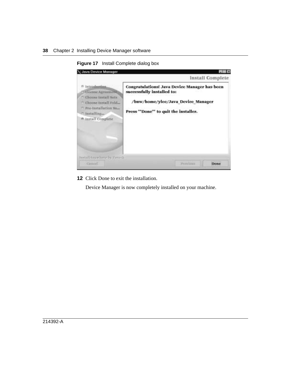<span id="page-37-0"></span>

**Figure 17** Install Complete dialog box

**12** Click Done to exit the installation.

Device Manager is now completely installed on your machine.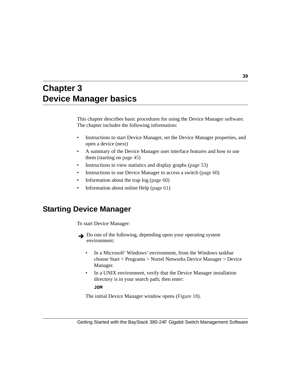# **Chapter 3 Device Manager basics**

This chapter describes basic procedures for using the Device Manager software. The chapter includes the following information:

- Instructions to start Device Manager, set the Device Manager properties, and open a device (next)
- A summary of the Device Manager user interface features and how to use them (starting on [page 45](#page-44-0))
- Instructions to view statistics and display graphs [\(page 53\)](#page-52-0)
- Instructions to use Device Manager to access a switch ([page 60](#page-59-0))
- Information about the trap  $log (page 60)$  $log (page 60)$  $log (page 60)$
- Information about online Help [\(page 61\)](#page-60-0)

# **Starting Device Manager**

To start Device Manager:

- Do one of the following, depending upon your operating system environment:
	- In a Microsoft\* Windows\* environment, from the Windows taskbar choose Start > Programs > Nortel Networks Device Manager > Device Manager.
	- In a UNIX environment, verify that the Device Manager installation directory is in your search path; then enter:

**JDM**

The initial Device Manager window opens ([Figure 18\)](#page-39-0).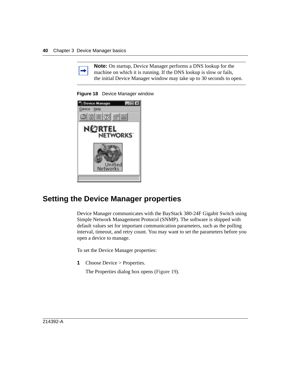

**Note:** On startup, Device Manager performs a DNS lookup for the machine on which it is running. If the DNS lookup is slow or fails, the initial Device Manager window may take up to 30 seconds to open.

<span id="page-39-0"></span>**Figure 18** Device Manager window



# <span id="page-39-1"></span>**Setting the Device Manager properties**

Device Manager communicates with the BayStack 380-24F Gigabit Switch using Simple Network Management Protocol (SNMP). The software is shipped with default values set for important communication parameters, such as the polling interval, timeout, and retry count. You may want to set the parameters before you open a device to manage.

To set the Device Manager properties:

**1** Choose Device > Properties.

The Properties dialog box opens ([Figure 19](#page-40-0)).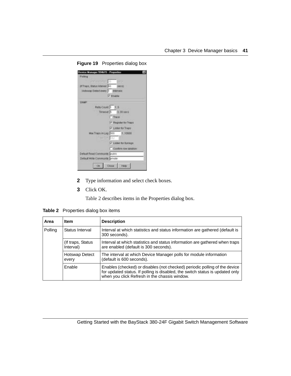| Puller<br>strangence (a)              |                                     |
|---------------------------------------|-------------------------------------|
| <b>If Trapis, Status Interval</b> KO  | metri                               |
|                                       | Hotsteap Detect every. 11 Interview |
|                                       | <b>D</b> Enable                     |
|                                       |                                     |
| <b>SINAP</b>                          |                                     |
|                                       | Hally Court 1 1.5                   |
|                                       | Timoout 5 2.38 secs                 |
|                                       | Плате                               |
|                                       | <b><i>C. Bagaster for Thaga</i></b> |
|                                       | <b>P Listen for Trapis</b>          |
|                                       | Max Traps #(Log. 200   f10000)      |
|                                       | 「地方の性質」                             |
|                                       | - Listen for Systeps                |
|                                       | Castimi row detabon                 |
| <b>Detauft Read Community outsite</b> |                                     |
| Default with Community private        |                                     |
|                                       |                                     |

<span id="page-40-0"></span>**Figure 19** Properties dialog box

- **2** Type information and select check boxes.
- **3** Click OK.

[Table 2](#page-40-1) describes items in the Properties dialog box.

<span id="page-40-1"></span>**Table 2** Properties dialog box items

| Area    | <b>Item</b>                     | <b>Description</b>                                                                                                                                                                                           |  |
|---------|---------------------------------|--------------------------------------------------------------------------------------------------------------------------------------------------------------------------------------------------------------|--|
| Polling | Status Interval                 | Interval at which statistics and status information are gathered (default is<br>300 seconds).                                                                                                                |  |
|         | (If traps, Status)<br>Interval) | Interval at which statistics and status information are gathered when traps<br>are enabled (default is 300 seconds).                                                                                         |  |
|         | <b>Hotswap Detect</b><br>every  | The interval at which Device Manager polls for module information<br>(default is 600 seconds).                                                                                                               |  |
|         | <b>Enable</b>                   | Enables (checked) or disables (not checked) periodic polling of the device<br>for updated status. If polling is disabled, the switch status is updated only<br>when you click Refresh in the chassis window. |  |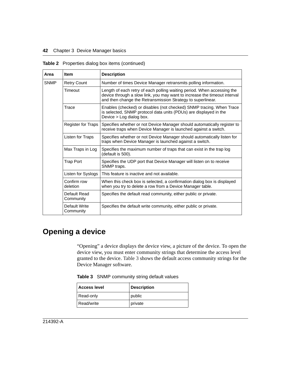| Area                              | <b>Item</b>                | <b>Description</b>                                                                                                                                                                                                  |  |
|-----------------------------------|----------------------------|---------------------------------------------------------------------------------------------------------------------------------------------------------------------------------------------------------------------|--|
| <b>SNMP</b><br><b>Retry Count</b> |                            | Number of times Device Manager retransmits polling information.                                                                                                                                                     |  |
|                                   | Timeout                    | Length of each retry of each polling waiting period. When accessing the<br>device through a slow link, you may want to increase the timeout interval<br>and then change the Retransmission Strategy to superlinear. |  |
|                                   | Trace                      | Enables (checked) or disables (not checked) SNMP tracing. When Trace<br>is selected, SNMP protocol data units (PDUs) are displayed in the<br>Device > Log dialog box.                                               |  |
|                                   | Register for Traps         | Specifies whether or not Device Manager should automatically register to<br>receive traps when Device Manager is launched against a switch.                                                                         |  |
| Listen for Traps                  |                            | Specifies whether or not Device Manager should automatically listen for<br>traps when Device Manager is launched against a switch.                                                                                  |  |
|                                   | Max Traps in Log           | Specifies the maximum number of traps that can exist in the trap log<br>(default is 500).                                                                                                                           |  |
|                                   | <b>Trap Port</b>           | Specifies the UDP port that Device Manager will listen on to receive<br>SNMP traps.                                                                                                                                 |  |
|                                   | Listen for Syslogs         | This feature is inactive and not available.                                                                                                                                                                         |  |
|                                   | Confirm row<br>deletion    | When this check box is selected, a confirmation dialog box is displayed<br>when you try to delete a row from a Device Manager table.                                                                                |  |
|                                   | Default Read<br>Community  | Specifies the default read community, either public or private.                                                                                                                                                     |  |
|                                   | Default Write<br>Community | Specifies the default write community, either public or private.                                                                                                                                                    |  |

**Table 2** Properties dialog box items (continued)

# **Opening a device**

"Opening" a device displays the device view, a picture of the device. To open the device view, you must enter community strings that determine the access level granted to the device. [Table 3](#page-41-0) shows the default access community strings for the Device Manager software.

<span id="page-41-0"></span>

|  |  | Table 3 SNMP community string default values |  |  |  |
|--|--|----------------------------------------------|--|--|--|
|--|--|----------------------------------------------|--|--|--|

| <b>Access level</b> | <b>Description</b> |
|---------------------|--------------------|
| Read-only           | public             |
| Read/write          | private            |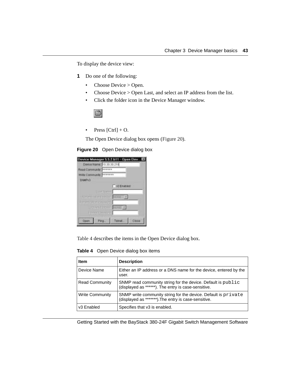To display the device view:

- **1** Do one of the following:
	- Choose Device > Open.
	- Choose Device > Open Last, and select an IP address from the list.
	- Click the folder icon in the Device Manager window.



• Press  $[Ctrl] + O$ .

The Open Device dialog box opens ([Figure 20](#page-42-0)).

#### <span id="page-42-0"></span>**Figure 20** Open Device dialog box

| Road Community   ******         |               |
|---------------------------------|---------------|
| Wite Community, <b>TELLISTS</b> |               |
| <b>STAIRV3</b>                  |               |
|                                 | V3 Franked    |
| <b>LIVET ATMOSPH</b>            |               |
| <b>Sunahating ander</b>         | <b>BACIDE</b> |
| alternativna komunist           |               |
| <b>STATISTICO MEET</b>          |               |
| THOUGH DRIVE OUT                |               |

[Table 4](#page-42-1) describes the items in the Open Device dialog box.

<span id="page-42-1"></span>**Table 4** Open Device dialog box items

| Item                   | <b>Description</b>                                                                                                     |  |
|------------------------|------------------------------------------------------------------------------------------------------------------------|--|
| Device Name            | Either an IP address or a DNS name for the device, entered by the<br>user.                                             |  |
| <b>Read Community</b>  | SNMP read community string for the device. Default is public<br>(displayed as ******). The entry is case-sensitive.    |  |
| <b>Write Community</b> | SNMP write community string for the device. Default is private<br>(displayed as *******). The entry is case-sensitive. |  |
| v <sub>3</sub> Enabled | Specifies that v3 is enabled.                                                                                          |  |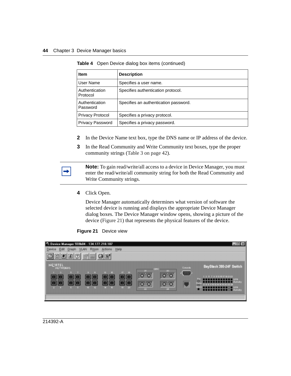| Item                       | <b>Description</b>                    |
|----------------------------|---------------------------------------|
| User Name                  | Specifies a user name.                |
| Authentication<br>Protocol | Specifies authentication protocol.    |
| Authentication<br>Password | Specifies an authentication password. |
| <b>Privacy Protocol</b>    | Specifies a privacy protocol.         |
| <b>Privacy Password</b>    | Specifies a privacy password.         |

**Table 4** Open Device dialog box items (continued)

- **2** In the Device Name text box, type the DNS name or IP address of the device.
- **3** In the Read Community and Write Community text boxes, type the proper community strings ([Table 3 on page 42\)](#page-41-0).

**Note:** To gain read/write/all access to a device in Device Manager, you must enter the read/write/all community string for both the Read Community and Write Community strings.

**4** Click Open.

Device Manager automatically determines what version of software the selected device is running and displays the appropriate Device Manager dialog boxes. The Device Manager window opens, showing a picture of the device [\(Figure 21\)](#page-43-0) that represents the physical features of the device.



<span id="page-43-0"></span>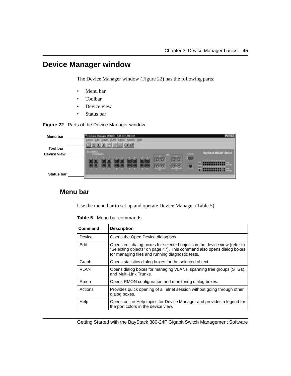# <span id="page-44-0"></span>**Device Manager window**

The Device Manager window [\(Figure 22\)](#page-44-1) has the following parts:

- Menu bar
- Toolbar
- Device view
- Status bar

<span id="page-44-1"></span>

| Menu bar                       | wice Manager 553604 - 134.177.218.107<br>Grazh VLAN Rates Ackins Help<br><b>Destra Gart</b><br>圕 |  |
|--------------------------------|--------------------------------------------------------------------------------------------------|--|
| <b>Tool bar</b><br>Device view | BayStark 385-24F Smitch<br>_<br><b>TIME IS</b><br>Œ<br>о<br>σ<br>IÐ                              |  |
| <b>Status bar</b>              | mm                                                                                               |  |

### <span id="page-44-2"></span>**Menu bar**

Use the menu bar to set up and operate Device Manager ([Table 5](#page-44-2)).

| Command     | <b>Description</b>                                                                                                                                                                                     |
|-------------|--------------------------------------------------------------------------------------------------------------------------------------------------------------------------------------------------------|
| Device      | Opens the Open Device dialog box.                                                                                                                                                                      |
| Edit        | Opens edit dialog boxes for selected objects in the device view (refer to<br>"Selecting objects" on page 47). This command also opens dialog boxes<br>for managing files and running diagnostic tests. |
| Graph       | Opens statistics dialog boxes for the selected object.                                                                                                                                                 |
| <b>VLAN</b> | Opens dialog boxes for managing VLANs, spanning tree groups (STGs),<br>and Multi-Link Trunks.                                                                                                          |
| Rmon        | Opens RMON configuration and monitoring dialog boxes.                                                                                                                                                  |
| Actions     | Provides quick opening of a Telnet session without going through other<br>dialog boxes.                                                                                                                |
| Help        | Opens online Help topics for Device Manager and provides a legend for<br>the port colors in the device view.                                                                                           |

**Table 5** Menu bar commands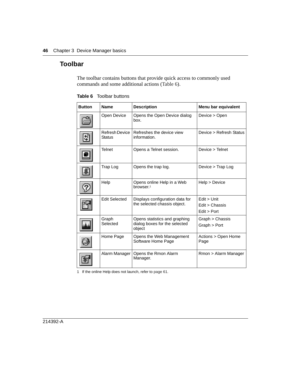### **Toolbar**

The toolbar contains buttons that provide quick access to commonly used commands and some additional actions [\(Table 6\)](#page-45-0).

| <b>Button</b> | <b>Name</b>                     | <b>Description</b>                                                       | Menu bar equivalent                          |
|---------------|---------------------------------|--------------------------------------------------------------------------|----------------------------------------------|
|               | <b>Open Device</b>              | Opens the Open Device dialog<br>box.                                     | Device > Open                                |
|               | Refresh Device<br><b>Status</b> | Refreshes the device view<br>information.                                | Device > Refresh Status                      |
|               | <b>Telnet</b>                   | Opens a Telnet session.                                                  | Device > Telnet                              |
|               | Trap Log                        | Opens the trap log.                                                      | Device > Trap Log                            |
|               | Help                            | Opens online Help in a Web<br>browser. <sup>1</sup>                      | Help > Device                                |
|               | <b>Edit Selected</b>            | Displays configuration data for<br>the selected chassis object.          | Edit > Unit<br>Edit > Chassis<br>Edit > Port |
|               | Graph<br>Selected               | Opens statistics and graphing<br>dialog boxes for the selected<br>object | Graph > Chassis<br>Graph > Port              |
|               | Home Page                       | Opens the Web Management<br>Software Home Page                           | Actions > Open Home<br>Page                  |
|               | Alarm Manager                   | Opens the Rmon Alarm<br>Manager.                                         | Rmon > Alarm Manager                         |

<span id="page-45-0"></span>**Table 6** Toolbar buttons

1 If the online Help does not launch, refer to [page 61](#page-60-0).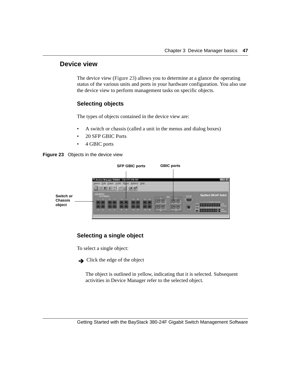#### **Device view**

The device view ([Figure 23](#page-46-1)) allows you to determine at a glance the operating status of the various units and ports in your hardware configuration. You also use the device view to perform management tasks on specific objects.

#### <span id="page-46-0"></span>**Selecting objects**

The types of objects contained in the device view are:

- A switch or chassis (called a unit in the menus and dialog boxes)
- 20 SFP GBIC Ports
- 4 GBIC ports

<span id="page-46-1"></span>



#### **Selecting a single object**

To select a single object:

 $\rightarrow$  Click the edge of the object

The object is outlined in yellow, indicating that it is selected. Subsequent activities in Device Manager refer to the selected object.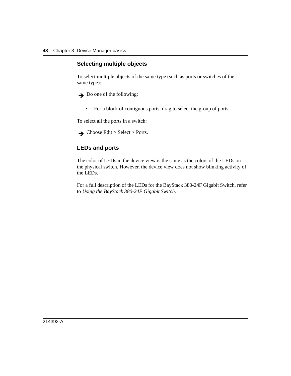#### **Selecting multiple objects**

To select multiple objects of the same type (such as ports or switches of the same type):

 $\rightarrow$  Do one of the following:

• For a block of contiguous ports, drag to select the group of ports.

To select all the ports in a switch:

 $\rightarrow$  Choose Edit > Select > Ports.

#### **LEDs and ports**

The color of LEDs in the device view is the same as the colors of the LEDs on the physical switch. However, the device view does not show blinking activity of the LEDs.

For a full description of the LEDs for the BayStack 380-24F Gigabit Switch, refer to *Using the BayStack 380-24F Gigabit Switch*.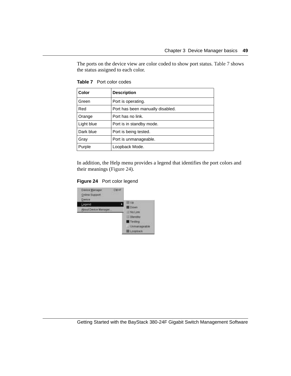The ports on the device view are color coded to show port status. [Table 7](#page-48-1) shows the status assigned to each color.

| Color      | <b>Description</b>               |
|------------|----------------------------------|
| Green      | Port is operating.               |
| Red        | Port has been manually disabled. |
| Orange     | Port has no link.                |
| Light blue | Port is in standby mode.         |
| Dark blue  | Port is being tested.            |
| Gray       | Port is unmanageable.            |
| Purple     | Loopback Mode.                   |

<span id="page-48-1"></span>**Table 7** Port color codes

In addition, the Help menu provides a legend that identifies the port colors and their meanings [\(Figure 24\)](#page-48-0).

**Figure 24** Port color legend

<span id="page-48-0"></span>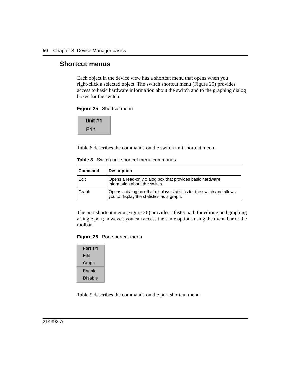#### **Shortcut menus**

Each object in the device view has a shortcut menu that opens when you right-click a selected object. The switch shortcut menu ([Figure 25](#page-49-0)) provides access to basic hardware information about the switch and to the graphing dialog boxes for the switch.

<span id="page-49-0"></span>

Unit #1 Edit

[Table 8](#page-49-2) describes the commands on the switch unit shortcut menu.

| <b>Command</b> | <b>Description</b>                                                                                                 |
|----------------|--------------------------------------------------------------------------------------------------------------------|
| Edit           | Opens a read-only dialog box that provides basic hardware<br>information about the switch.                         |
| Graph          | Opens a dialog box that displays statistics for the switch and allows<br>you to display the statistics as a graph. |

<span id="page-49-2"></span>**Table 8** Switch unit shortcut menu commands

The port shortcut menu ([Figure 26](#page-49-1)) provides a faster path for editing and graphing a single port; however, you can access the same options using the menu bar or the toolbar.

#### <span id="page-49-1"></span>**Figure 26** Port shortcut menu

| Port 1/1 |
|----------|
| Edit     |
| Graph    |
| Fnable   |
| Disable  |

[Table 9](#page-50-0) describes the commands on the port shortcut menu.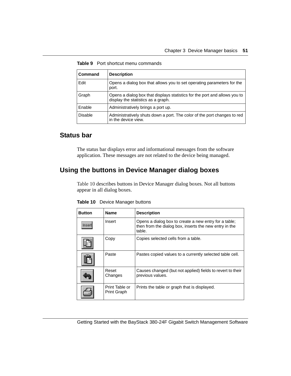| <b>Command</b> | <b>Description</b>                                                                                               |
|----------------|------------------------------------------------------------------------------------------------------------------|
| Edit           | Opens a dialog box that allows you to set operating parameters for the<br>port.                                  |
| Graph          | Opens a dialog box that displays statistics for the port and allows you to<br>display the statistics as a graph. |
| Enable         | Administratively brings a port up.                                                                               |
| <b>Disable</b> | Administratively shuts down a port. The color of the port changes to red<br>in the device view.                  |

<span id="page-50-0"></span>**Table 9** Port shortcut menu commands

#### **Status bar**

The status bar displays error and informational messages from the software application. These messages are not related to the device being managed.

# **Using the buttons in Device Manager dialog boxes**

[Table 10](#page-50-1) describes buttons in Device Manager dialog boxes. Not all buttons appear in all dialog boxes.

| Button | <b>Name</b>                          | <b>Description</b>                                                                                                        |
|--------|--------------------------------------|---------------------------------------------------------------------------------------------------------------------------|
| mser   | Insert                               | Opens a dialog box to create a new entry for a table;<br>then from the dialog box, inserts the new entry in the<br>table. |
|        | Copy                                 | Copies selected cells from a table.                                                                                       |
|        | Paste                                | Pastes copied values to a currently selected table cell.                                                                  |
|        | Reset<br>Changes                     | Causes changed (but not applied) fields to revert to their<br>previous values.                                            |
|        | Print Table or<br><b>Print Graph</b> | Prints the table or graph that is displayed.                                                                              |

<span id="page-50-1"></span>**Table 10** Device Manager buttons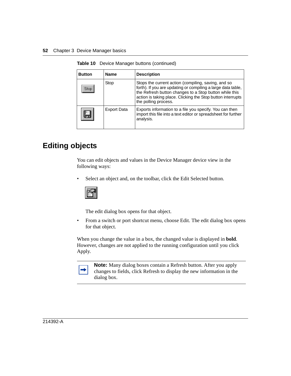| <b>Button</b> | <b>Name</b>        | <b>Description</b>                                                                                                                                                                                                                                                   |
|---------------|--------------------|----------------------------------------------------------------------------------------------------------------------------------------------------------------------------------------------------------------------------------------------------------------------|
| Stop.         | Stop               | Stops the current action (compiling, saving, and so<br>forth). If you are updating or compiling a large data table,<br>the Refresh button changes to a Stop button while this<br>action is taking place. Clicking the Stop button interrupts<br>the polling process. |
|               | <b>Export Data</b> | Exports information to a file you specify. You can then<br>import this file into a text editor or spreadsheet for further<br>analysis.                                                                                                                               |

**Table 10** Device Manager buttons (continued)

# **Editing objects**

You can edit objects and values in the Device Manager device view in the following ways:

• Select an object and, on the toolbar, click the Edit Selected button.



The edit dialog box opens for that object.

• From a switch or port shortcut menu, choose Edit. The edit dialog box opens for that object.

When you change the value in a box, the changed value is displayed in **bold**. However, changes are not applied to the running configuration until you click Apply.

**Note:** Many dialog boxes contain a Refresh button. After you apply changes to fields, click Refresh to display the new information in the dialog box.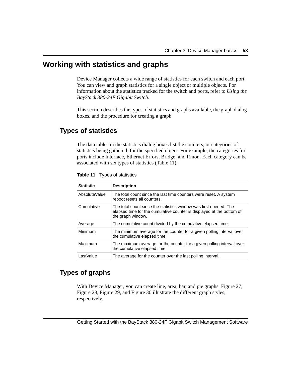## <span id="page-52-0"></span>**Working with statistics and graphs**

Device Manager collects a wide range of statistics for each switch and each port. You can view and graph statistics for a single object or multiple objects. For information about the statistics tracked for the switch and ports, refer to *Using the BayStack 380-24F Gigabit Switch.*

This section describes the types of statistics and graphs available, the graph dialog boxes, and the procedure for creating a graph.

## **Types of statistics**

The data tables in the statistics dialog boxes list the counters, or categories of statistics being gathered, for the specified object. For example, the categories for ports include Interface, Ethernet Errors, Bridge, and Rmon. Each category can be associated with six types of statistics ([Table 11](#page-52-1)).

| <b>Statistic</b> | <b>Description</b>                                                                                                                                              |
|------------------|-----------------------------------------------------------------------------------------------------------------------------------------------------------------|
| AbsoluteValue    | The total count since the last time counters were reset. A system<br>reboot resets all counters.                                                                |
| Cumulative       | The total count since the statistics window was first opened. The<br>elapsed time for the cumulative counter is displayed at the bottom of<br>the graph window. |
| Average          | The cumulative count divided by the cumulative elapsed time.                                                                                                    |
| Minimum          | The minimum average for the counter for a given polling interval over<br>the cumulative elapsed time.                                                           |
| Maximum          | The maximum average for the counter for a given polling interval over<br>the cumulative elapsed time.                                                           |
| LastValue        | The average for the counter over the last polling interval.                                                                                                     |

<span id="page-52-1"></span>**Table 11** Types of statistics

### <span id="page-52-2"></span>**Types of graphs**

With Device Manager, you can create line, area, bar, and pie graphs. [Figure 27,](#page-53-0) [Figure 28](#page-53-1), [Figure 29](#page-54-0), and [Figure 30](#page-54-1) illustrate the different graph styles, respectively.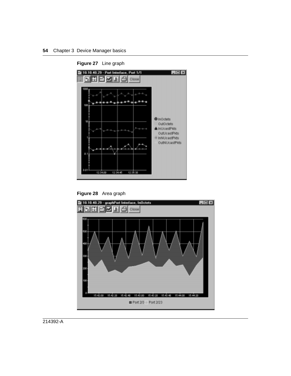

<span id="page-53-0"></span>**Figure 27** Line graph

<span id="page-53-1"></span>

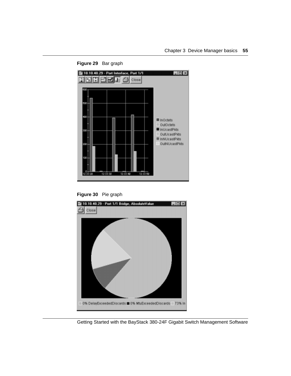<span id="page-54-0"></span>

**Figure 29** Bar graph

<span id="page-54-1"></span>

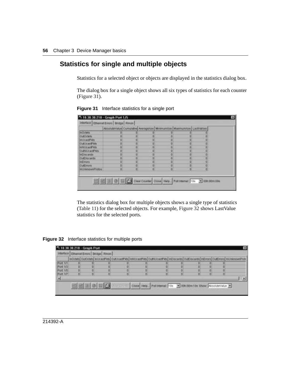### **Statistics for single and multiple objects**

Statistics for a selected object or objects are displayed in the statistics dialog box.

The dialog box for a single object shows all six types of statistics for each counter ([Figure 31](#page-55-0)).

|                         | AltondeValue Cumulative Average/sec Minimum/soc Maximum/sec LastVal/sec |   |                |   |
|-------------------------|-------------------------------------------------------------------------|---|----------------|---|
| <b>mOzilets</b>         |                                                                         |   |                |   |
| OLEOCHIE                |                                                                         |   | ū              |   |
| <b>InUsastPAts</b>      |                                                                         |   | o              | Ð |
| OutUtneFids             |                                                                         |   | o              |   |
| Inhibitatili kts.       |                                                                         |   | n              | o |
| Outbit.loapE9ds         | в                                                                       |   | $\overline{0}$ | Ð |
| inDiscards.             |                                                                         |   | o              | Ð |
| <b>OMDITERIS</b>        |                                                                         |   | $\alpha$       | n |
| <b>Infirmant</b>        |                                                                         |   | o              | o |
| <b>OutEmors</b>         |                                                                         |   | $\alpha$       | o |
| <b>EGGITTING ALASKA</b> | n                                                                       | п | $\Omega$       | ū |

<span id="page-55-0"></span>**Figure 31** Interface statistics for a single port

The statistics dialog box for multiple objects shows a single type of statistics ([Table 11](#page-52-1)) for the selected objects. For example, [Figure 32](#page-55-1) shows LastValue statistics for the selected ports.

<span id="page-55-1"></span>**Figure 32** Interface statistics for multiple ports

|          |   | interface Ethernet Errors Bridge Rimon |    |   |                                                                                                                                                   |   |   |  |
|----------|---|----------------------------------------|----|---|---------------------------------------------------------------------------------------------------------------------------------------------------|---|---|--|
|          |   |                                        |    |   | InO motal CurOctets) InDeadPirits   OutDeadPirits   InNUeadPirits   OutNUeadPirits   InDiscards   InDiscards   InErrors   OutErrors   WinknownPro |   |   |  |
| Patt 1/1 |   |                                        |    |   |                                                                                                                                                   |   |   |  |
| Port 1/3 |   |                                        |    |   |                                                                                                                                                   |   |   |  |
| Port 1/5 |   |                                        |    |   |                                                                                                                                                   |   |   |  |
| Port 1/7 | в |                                        | σı | n |                                                                                                                                                   | n | n |  |
|          |   |                                        |    |   |                                                                                                                                                   |   |   |  |
|          |   | <b>Teluici</b>                         |    |   | The Cost Heb. Politeral 10s - Bondimios Stow Associations #                                                                                       |   |   |  |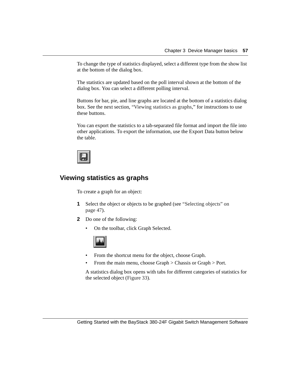To change the type of statistics displayed, select a different type from the show list at the bottom of the dialog box.

The statistics are updated based on the poll interval shown at the bottom of the dialog box. You can select a different polling interval.

Buttons for bar, pie, and line graphs are located at the bottom of a statistics dialog box. See the next section, ["Viewing statistics as graphs,](#page-56-0)" for instructions to use these buttons.

You can export the statistics to a tab-separated file format and import the file into other applications. To export the information, use the Export Data button below the table.



#### <span id="page-56-0"></span>**Viewing statistics as graphs**

To create a graph for an object:

- **1** Select the object or objects to be graphed (see "Selecting objects" on [page 47](#page-46-0)).
- **2** Do one of the following:
	- On the toolbar, click Graph Selected.



- From the shortcut menu for the object, choose Graph.
- From the main menu, choose Graph > Chassis or Graph > Port.

A statistics dialog box opens with tabs for different categories of statistics for the selected object ([Figure 33\)](#page-57-0).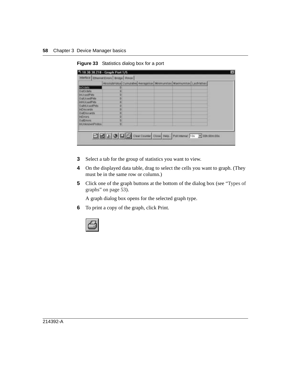|                       | AltondeValue Cumulative Average/sec Minimum/soc Maximum/sec LastVal/sec |  |  |
|-----------------------|-------------------------------------------------------------------------|--|--|
| inOctebs.             |                                                                         |  |  |
| OutDobrid             | D                                                                       |  |  |
| <b>InvUeastPids</b>   | Ð                                                                       |  |  |
| OutUtneFids           | n                                                                       |  |  |
| INVUENIE' kts.        | n                                                                       |  |  |
| OutNUCASEMS           | в                                                                       |  |  |
| <b>InDiscards</b>     |                                                                         |  |  |
| <b>OMDISERIES</b>     | в                                                                       |  |  |
| <b>FETTONS</b>        | n                                                                       |  |  |
| OutEmors.             | в                                                                       |  |  |
| <b>INVESTIGATIONS</b> | в                                                                       |  |  |

<span id="page-57-0"></span>**Figure 33** Statistics dialog box for a port

- **3** Select a tab for the group of statistics you want to view.
- **4** On the displayed data table, drag to select the cells you want to graph. (They must be in the same row or column.)
- **5** Click one of the graph buttons at the bottom of the dialog box (see "Types of [graphs" on page 53](#page-52-2)).

A graph dialog box opens for the selected graph type.

**6** To print a copy of the graph, click Print.

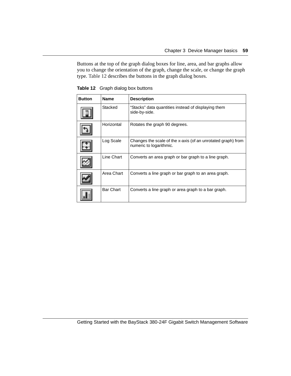Buttons at the top of the graph dialog boxes for line, area, and bar graphs allow you to change the orientation of the graph, change the scale, or change the graph type. [Table 12](#page-58-0) describes the buttons in the graph dialog boxes.

| <b>Button</b> | <b>Name</b> | <b>Description</b>                                                                      |
|---------------|-------------|-----------------------------------------------------------------------------------------|
|               | Stacked     | "Stacks" data quantities instead of displaying them<br>side-by-side.                    |
|               | Horizontal  | Rotates the graph 90 degrees.                                                           |
|               | Log Scale   | Changes the scale of the x-axis (of an unrotated graph) from<br>numeric to logarithmic. |
|               | Line Chart  | Converts an area graph or bar graph to a line graph.                                    |
|               | Area Chart  | Converts a line graph or bar graph to an area graph.                                    |
|               | Bar Chart   | Converts a line graph or area graph to a bar graph.                                     |

<span id="page-58-0"></span>**Table 12** Graph dialog box buttons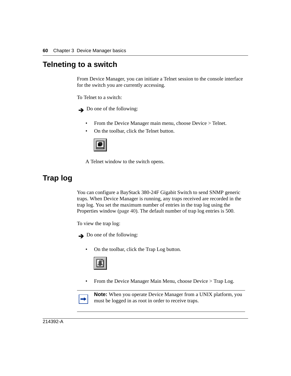### <span id="page-59-0"></span>**Telneting to a switch**

From Device Manager, you can initiate a Telnet session to the console interface for the switch you are currently accessing.

To Telnet to a switch:

 $\rightarrow$  Do one of the following:

- From the Device Manager main menu, choose Device > Telnet.
- On the toolbar, click the Telnet button.



A Telnet window to the switch opens.

# <span id="page-59-1"></span>**Trap log**

You can configure a BayStack 380-24F Gigabit Switch to send SNMP generic traps. When Device Manager is running, any traps received are recorded in the trap log. You set the maximum number of entries in the trap log using the Properties window [\(page 40\)](#page-39-1). The default number of trap log entries is 500.

To view the trap log:

 $\rightarrow$  Do one of the following:

• On the toolbar, click the Trap Log button.



• From the Device Manager Main Menu, choose Device > Trap Log.



**Note:** When you operate Device Manager from a UNIX platform, you must be logged in as root in order to receive traps.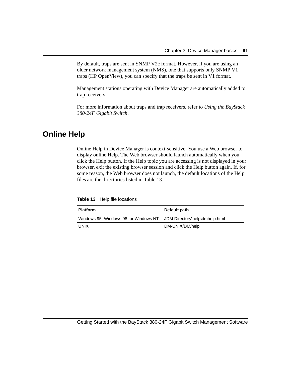By default, traps are sent in SNMP V2c format. However, if you are using an older network management system (NMS), one that supports only SNMP V1 traps (HP OpenView), you can specify that the traps be sent in V1 format.

Management stations operating with Device Manager are automatically added to trap receivers.

For more information about traps and trap receivers, refer to *Using the BayStack 380-24F Gigabit Switch*.

# <span id="page-60-0"></span>**Online Help**

Online Help in Device Manager is context-sensitive. You use a Web browser to display online Help. The Web browser should launch automatically when you click the Help button. If the Help topic you are accessing is not displayed in your browser, exit the existing browser session and click the Help button again. If, for some reason, the Web browser does not launch, the default locations of the Help files are the directories listed in [Table 13.](#page-60-1)

<span id="page-60-1"></span>**Table 13** Help file locations

| <b>Platform</b>                       | Default path                   |
|---------------------------------------|--------------------------------|
| Windows 95, Windows 98, or Windows NT | JDM Directory\help\dmhelp.html |
| <b>UNIX</b>                           | DM-UNIX/DM/help                |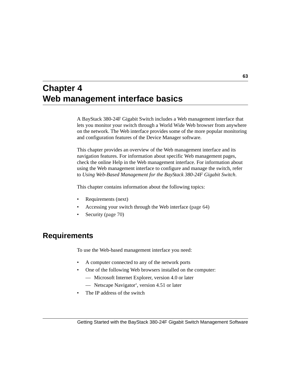# **Chapter 4 Web management interface basics**

A BayStack 380-24F Gigabit Switch includes a Web management interface that lets you monitor your switch through a World Wide Web browser from anywhere on the network. The Web interface provides some of the more popular monitoring and configuration features of the Device Manager software.

This chapter provides an overview of the Web management interface and its navigation features. For information about specific Web management pages, check the online Help in the Web management interface. For information about using the Web management interface to configure and manage the switch, refer to *Using Web-Based Management for the BayStack 380-24F Gigabit Switch*.

This chapter contains information about the following topics:

- Requirements (next)
- Accessing your switch through the Web interface ([page 64](#page-63-0))
- Security ([page 70\)](#page-69-0)

# **Requirements**

To use the Web-based management interface you need:

- A computer connected to any of the network ports
- One of the following Web browsers installed on the computer:
	- Microsoft Internet Explorer, version 4.0 or later
	- Netscape Navigator\*, version 4.51 or later
- The IP address of the switch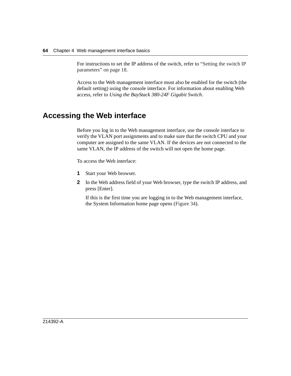For instructions to set the IP address of the switch, refer to ["Setting the switch IP](#page-17-0)  [parameters" on page 18](#page-17-0).

Access to the Web management interface must also be enabled for the switch (the default setting) using the console interface. For information about enabling Web access, refer to *Using the BayStack 380-24F Gigabit Switch*.

# <span id="page-63-0"></span>**Accessing the Web interface**

Before you log in to the Web management interface, use the console interface to verify the VLAN port assignments and to make sure that the switch CPU and your computer are assigned to the same VLAN. If the devices are not connected to the same VLAN, the IP address of the switch will not open the home page.

To access the Web interface:

- **1** Start your Web browser.
- **2** In the Web address field of your Web browser, type the switch IP address, and press [Enter].

If this is the first time you are logging in to the Web management interface, the System Information home page opens [\(Figure 34\)](#page-64-0).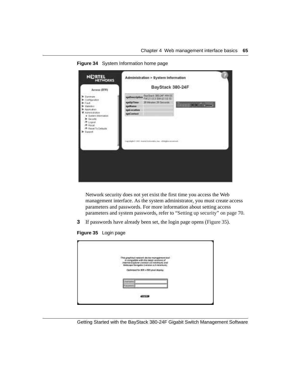<span id="page-64-0"></span>

**Figure 34** System Information home page

Network security does not yet exist the first time you access the Web management interface. As the system administrator, you must create access parameters and passwords. For more information about setting access parameters and system passwords, refer to ["Setting up security" on page 70.](#page-69-0)

- **3** If passwords have already been set, the login page opens [\(Figure 35\)](#page-64-1).
- <span id="page-64-1"></span>**Figure 35** Login page

| This graphical redwark plevice management too!<br>is compatible with the letest versions of<br>Interest Explorer (version 4.8 minimum) and<br>Retacepe Navigator (version 4.5 minimum). |  |
|-----------------------------------------------------------------------------------------------------------------------------------------------------------------------------------------|--|
| Cashmized for 809 x 690 plant distring.<br><b>TLACTERING</b><br><b>P.Inclustritt</b>                                                                                                    |  |
| <b>START COMPANY</b><br>437378                                                                                                                                                          |  |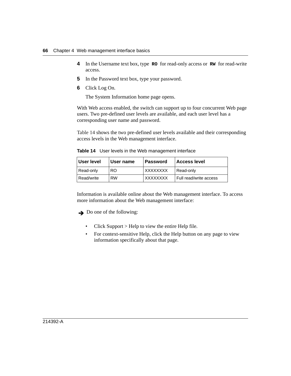- **4** In the Username text box, type **RO** for read-only access or **RW** for read-write access.
- **5** In the Password text box, type your password.
- **6** Click Log On.

The System Information home page opens.

With Web access enabled, the switch can support up to four concurrent Web page users. Two pre-defined user levels are available, and each user level has a corresponding user name and password.

[Table 14](#page-65-0) shows the two pre-defined user levels available and their corresponding access levels in the Web management interface.

<span id="page-65-0"></span>**Table 14** User levels in the Web management interface

| User level | <b>I</b> User name | l Password | <b>Access level</b>    |
|------------|--------------------|------------|------------------------|
| Read-only  | RO.                | XXXXXXXX   | Read-only              |
| Read/write | <b>RW</b>          | XXXXXXXX   | Full read/write access |

Information is available online about the Web management interface. To access more information about the Web management interface:

 $\rightarrow$  Do one of the following:

- Click Support > Help to view the entire Help file.
- For context-sensitive Help, click the Help button on any page to view information specifically about that page.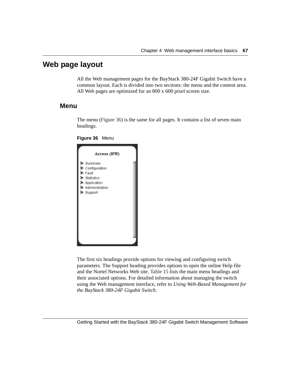## **Web page layout**

All the Web management pages for the BayStack 380-24F Gigabit Switch have a common layout. Each is divided into two sections: the menu and the content area. All Web pages are optimized for an 800 x 600 pixel screen size.

#### **Menu**

The menu ([Figure 36](#page-66-0)) is the same for all pages. It contains a list of seven main headings.



<span id="page-66-0"></span>

The first six headings provide options for viewing and configuring switch parameters. The Support heading provides options to open the online Help file and the Nortel Networks Web site. [Table 15](#page-67-0) lists the main menu headings and their associated options. For detailed information about managing the switch using the Web management interface, refer to *Using Web-Based Management for the BayStack 380-24F Gigabit Switch.*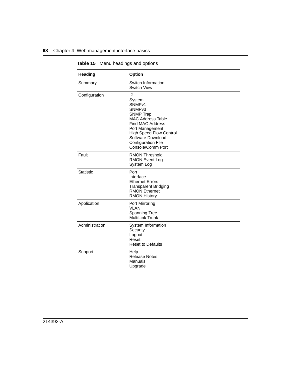| Heading          | <b>Option</b>                                                                                                                                                                                                                                            |
|------------------|----------------------------------------------------------------------------------------------------------------------------------------------------------------------------------------------------------------------------------------------------------|
| Summary          | Switch Information<br>Switch View                                                                                                                                                                                                                        |
| Configuration    | IP<br>System<br>SNMP <sub>v1</sub><br>SNMP <sub>v3</sub><br><b>SNMP Trap</b><br>MAC Address Table<br><b>Find MAC Address</b><br>Port Management<br><b>High Speed Flow Control</b><br>Software Download<br><b>Configuration File</b><br>Console/Comm Port |
| Fault            | <b>RMON Threshold</b><br><b>RMON Event Log</b><br>System Log                                                                                                                                                                                             |
| <b>Statistic</b> | Port<br>Interface<br><b>Ethernet Errors</b><br><b>Transparent Bridging</b><br><b>RMON Ethernet</b><br><b>RMON History</b>                                                                                                                                |
| Application      | Port Mirroring<br><b>VLAN</b><br>Spanning Tree<br>MultiLink Trunk                                                                                                                                                                                        |
| Administration   | System Information<br>Security<br>Logout<br>Reset<br><b>Reset to Defaults</b>                                                                                                                                                                            |
| Support          | Help<br><b>Release Notes</b><br><b>Manuals</b><br>Upgrade                                                                                                                                                                                                |

<span id="page-67-0"></span>**Table 15** Menu headings and options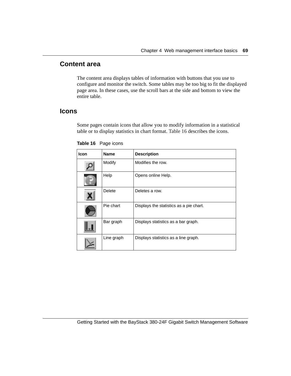#### **Content area**

The content area displays tables of information with buttons that you use to configure and monitor the switch. Some tables may be too big to fit the displayed page area. In these cases, use the scroll bars at the side and bottom to view the entire table.

#### **Icons**

Some pages contain icons that allow you to modify information in a statistical table or to display statistics in chart format. [Table 16](#page-68-0) describes the icons.

| Icon | <b>Name</b>   | <b>Description</b>                      |
|------|---------------|-----------------------------------------|
|      | Modify        | Modifies the row.                       |
|      | Help          | Opens online Help.                      |
|      | <b>Delete</b> | Deletes a row.                          |
|      | Pie chart     | Displays the statistics as a pie chart. |
|      | Bar graph     | Displays statistics as a bar graph.     |
|      | Line graph    | Displays statistics as a line graph.    |

<span id="page-68-0"></span>**Table 16** Page icons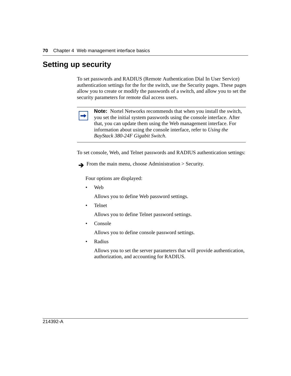# <span id="page-69-0"></span>**Setting up security**

To set passwords and RADIUS (Remote Authentication Dial In User Service) authentication settings for the for the switch, use the Security pages. These pages allow you to create or modify the passwords of a switch, and allow you to set the security parameters for remote dial access users.



**Note:** Nortel Networks recommends that when you install the switch, you set the initial system passwords using the console interface. After that, you can update them using the Web management interface. For information about using the console interface, refer to *Using the BayStack 380-24F Gigabit Switch*.

To set console, Web, and Telnet passwords and RADIUS authentication settings:

 $\rightarrow$  From the main menu, choose Administration  $>$  Security.

Four options are displayed:

• Web

Allows you to define Web password settings.

• Telnet

Allows you to define Telnet password settings.

• Console

Allows you to define console password settings.

• Radius

Allows you to set the server parameters that will provide authentication, authorization, and accounting for RADIUS.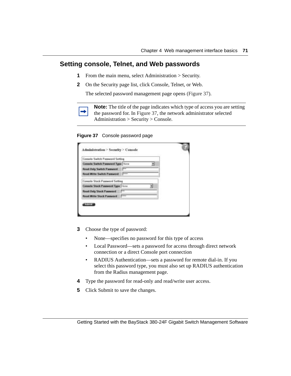#### **Setting console, Telnet, and Web passwords**

- **1** From the main menu, select Administration > Security.
- **2** On the Security page list, click Console, Telnet, or Web.

The selected password management page opens [\(Figure 37\).](#page-70-0)

|--|

**Note:** The title of the page indicates which type of access you are setting the password for. In [Figure 37](#page-70-0), the network administrator selected Administration > Security > Console.

#### <span id="page-70-0"></span>**Figure 37** Console password page

| Console Switch Password Setting    |                |  |
|------------------------------------|----------------|--|
| Controle Switch Paneword Type None |                |  |
| <b>Read-Only Sector Pannwood</b>   |                |  |
| Read/Write Sudtch Password         | $\overline{ }$ |  |
| Console Stack Password Setting     |                |  |
| Consolo Stack Password Type Time   |                |  |
| <b>Read Only Stack Password</b>    |                |  |
| Read Write Stack Password          | ᆖ              |  |

- **3** Choose the type of password:
	- None—specifies no password for this type of access
	- Local Password—sets a password for access through direct network connection or a direct Console port connection
	- RADIUS Authentication—sets a password for remote dial-in. If you select this password type, you must also set up RADIUS authentication from the Radius management page.
- **4** Type the password for read-only and read/write user access.
- **5** Click Submit to save the changes.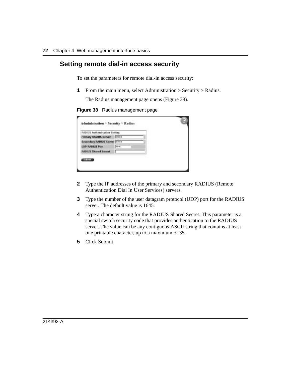#### **Setting remote dial-in access security**

To set the parameters for remote dial-in access security:

**1** From the main menu, select Administration > Security > Radius.

The Radius management page opens [\(Figure 38\).](#page-71-0)

<span id="page-71-0"></span>

|  | Figure 38 Radius management page |  |
|--|----------------------------------|--|
|  |                                  |  |

| RADUS Authentication Setting        |       |   |  |
|-------------------------------------|-------|---|--|
| <b>Primary RADIUS Server</b>        | 80.03 |   |  |
| <b>Secondary RADIOS Server Bonn</b> |       | w |  |
| <b>UDP RADIUS Part</b>              |       |   |  |
| <b>BABIUS Shared Secret</b>         |       |   |  |

- **2** Type the IP addresses of the primary and secondary RADIUS (Remote Authentication Dial In User Services) servers.
- **3** Type the number of the user datagram protocol (UDP) port for the RADIUS server. The default value is 1645.
- **4** Type a character string for the RADIUS Shared Secret. This parameter is a special switch security code that provides authentication to the RADIUS server. The value can be any contiguous ASCII string that contains at least one printable character, up to a maximum of 35.
- **5** Click Submit.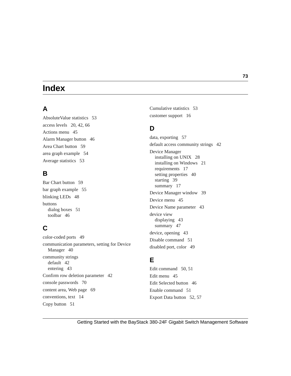# **Index**

### **A**

[AbsoluteValue statistics 53](#page-52-0) [access levels 20,](#page-19-0) [42,](#page-41-0) [66](#page-65-0) [Actions menu 45](#page-44-0) [Alarm Manager button 46](#page-45-0) [Area Chart button 59](#page-58-0) [area graph example 54](#page-53-0) [Average statistics 53](#page-52-1)

#### **B**

[Bar Chart button 59](#page-58-1) [bar graph example 55](#page-54-0) [blinking LEDs 48](#page-47-0) buttons [dialog boxes 51](#page-50-0) [toolbar 46](#page-45-1)

## **C**

[color-coded ports 49](#page-48-0) [communication parameters, setting for Device](#page-39-0)  Manager 40 community strings [default 42](#page-41-1) [entering 43](#page-42-0) [Confirm row deletion parameter 42](#page-41-2) [console passwords 70](#page-69-0) [content area, Web page 69](#page-68-0) [conventions, text 14](#page-13-0) [Copy button 51](#page-50-1)

[Cumulative statistics 53](#page-52-2) [customer support 16](#page-15-0)

#### **D**

[data, exporting 57](#page-56-0) [default access community strings 42](#page-41-1) Device Manager [installing on UNIX 28](#page-27-0) [installing on Windows 21](#page-20-0) [requirements 17](#page-16-0) [setting properties 40](#page-39-0) [starting 39](#page-38-0) [summary 17](#page-16-1) [Device Manager window 39](#page-38-1) [Device menu 45](#page-44-1) [Device Name parameter 43](#page-42-1) device view [displaying 43](#page-42-2) [summary 47](#page-46-0) [device, opening 43](#page-42-3) [Disable command 51](#page-50-2) [disabled port, color 49](#page-48-1)

### **E**

[Edit command 50,](#page-49-0) [51](#page-50-3) [Edit menu 45](#page-44-2) [Edit Selected button 46](#page-45-2) [Enable command 51](#page-50-4) [Export Data button 52,](#page-51-0) [57](#page-56-0)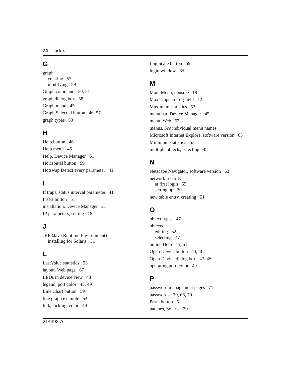### **G**

graph [creating 57](#page-56-1) [modifying 59](#page-58-2) [Graph command 50,](#page-49-1) [51](#page-50-5) [graph dialog box 58](#page-57-0) [Graph menu 45](#page-44-3) [Graph Selected button 46,](#page-45-3) [57](#page-56-2) [graph types 53](#page-52-3)

### **H**

[Help button 46](#page-45-4) [Help menu 45](#page-44-4) [Help, Device Manager 61](#page-60-0) [Horizontal button 59](#page-58-3) [Hotswap Detect every parameter 41](#page-40-0)

## **I**

[If traps, status interval parameter 41](#page-40-1) [Insert button 51](#page-50-6) [installation, Device Manager 21](#page-20-1) [IP parameters, setting 18](#page-17-0)

### **J**

JRE (Java Runtime Environment) [installing for Solaris 31](#page-30-0)

### **L**

[LastValue statistics 53](#page-52-4) [layout, Web page 67](#page-66-0) [LEDs in device view 48](#page-47-1) [legend, port color 45,](#page-44-5) [49](#page-48-2) [Line Chart button 59](#page-58-4) [line graph example 54](#page-53-1) [link, lacking, color 49](#page-48-3)

[Log Scale button 59](#page-58-5) [login window 65](#page-64-0)

#### **M**

[Main Menu, console 19](#page-18-0) [Max Traps in Log field 42](#page-41-3) [Maximum statistics 53](#page-52-5) [menu bar, Device Manager 45](#page-44-6) [menu, Web 67](#page-66-1) [menus.](#page-44-7) *See* individual menu names [Microsoft Internet Explore, software version 63](#page-62-0) [Minimum statistics 53](#page-52-6) [multiple objects, selecting 48](#page-47-2)

#### **N**

[Netscape Navigator, software version 63](#page-62-0) network security [at first login 65](#page-64-1) [setting up 70](#page-69-1) [new table entry, creating 51](#page-50-7)

### **O**

[object types 47](#page-46-1) objects [editing 52](#page-51-1) [selecting 47](#page-46-1) [online Help 45,](#page-44-8) [61](#page-60-0) [Open Device button 43,](#page-42-4) [46](#page-45-5) [Open Device dialog box 43,](#page-42-5) [45](#page-44-9) [operating port, color 49](#page-48-4)

#### **P**

[password management pages 71](#page-70-0) [passwords 20,](#page-19-0) [66,](#page-65-1) [70](#page-69-2) [Paste button 51](#page-50-8) [patches, Solaris 30](#page-29-0)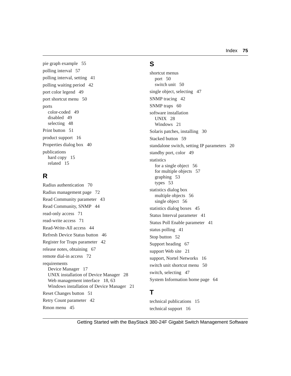[pie graph example 55](#page-54-1) [polling interval 57](#page-56-3) [polling interval, setting 41](#page-40-2) [polling waiting period 42](#page-41-4) [port color legend 49](#page-48-2) [port shortcut menu 50](#page-49-2) ports [color-coded 49](#page-48-0) [disabled 49](#page-48-1) [selecting 48](#page-47-3) [Print button 51](#page-50-9) [product support 16](#page-15-0) [Properties dialog box 40](#page-39-0) publications [hard copy 15](#page-14-0) [related 15](#page-14-1)

## **R**

[Radius authentication 70](#page-69-3) [Radius management page 72](#page-71-0) [Read Community parameter 43](#page-42-6) [Read Community, SNMP 44](#page-43-0) [read-only access 71](#page-70-1) [read-write access 71](#page-70-2) [Read-Write-All access 44](#page-43-1) [Refresh Device Status button 46](#page-45-6) [Register for Traps parameter 42](#page-41-5) [release notes, obtaining 67](#page-66-2) [remote dial-in access 72](#page-71-1) requirements [Device Manager 17](#page-16-0) [UNIX installation of Device Manager 28](#page-27-1) [Web management interface 18,](#page-17-1) [63](#page-62-1) [Windows installation of Device Manager 21](#page-20-2) [Reset Changes button 51](#page-50-10) [Retry Count parameter 42](#page-41-6) [Rmon menu 45](#page-44-10)

### **S**

shortcut menus [port 50](#page-49-2) [switch unit 50](#page-49-3) [single object, selecting 47](#page-46-2) [SNMP tracing 42](#page-41-7) [SNMP traps 60](#page-59-0) software installation [UNIX 28](#page-27-0) [Windows 21](#page-20-0) [Solaris patches, installing 30](#page-29-0) [Stacked button 59](#page-58-6) [standalone switch, setting IP parameters 20](#page-19-1) [standby port, color 49](#page-48-5) statistics [for a single object 56](#page-55-0) [for multiple objects 57](#page-56-4) [graphing 53](#page-52-7) [types 53](#page-52-8) statistics dialog box [multiple objects 56](#page-55-1) [single object 56](#page-55-2) [statistics dialog boxes 45](#page-44-11) [Status Interval parameter 41](#page-40-3) [Status Poll Enable parameter 41](#page-40-4) [status polling 41](#page-40-5) [Stop button 52](#page-51-2) [Support heading 67](#page-66-2) [support Web site 21](#page-20-3) [support, Nortel Networks 16](#page-15-0) [switch unit shortcut menu 50](#page-49-4) [switch, selecting 47](#page-46-2) [System Information home page 64](#page-63-0)

## **T**

[technical publications 15](#page-14-0) [technical support 16](#page-29-0)